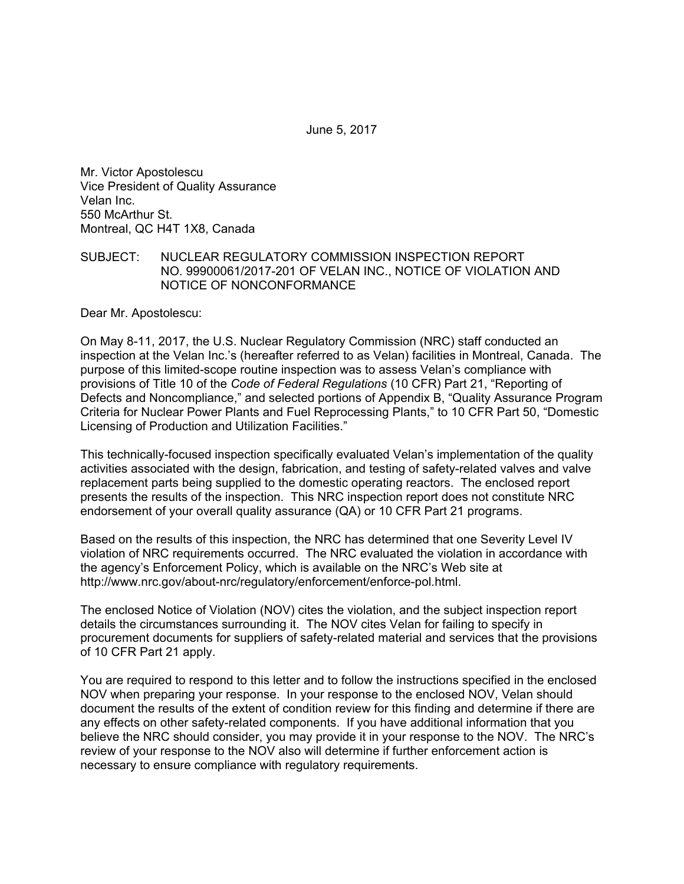June 5, 2017

Mr. Victor Apostolescu Vice President of Quality Assurance Velan Inc. 550 McArthur St. Montreal, QC H4T 1X8, Canada

#### SUBJECT: NUCLEAR REGULATORY COMMISSION INSPECTION REPORT NO. 99900061/2017-201 OF VELAN INC., NOTICE OF VIOLATION AND NOTICE OF NONCONFORMANCE

Dear Mr. Apostolescu:

On May 8-11, 2017, the U.S. Nuclear Regulatory Commission (NRC) staff conducted an inspection at the Velan Inc.'s (hereafter referred to as Velan) facilities in Montreal, Canada. The purpose of this limited-scope routine inspection was to assess Velan's compliance with provisions of Title 10 of the *Code of Federal Regulations* (10 CFR) Part 21, "Reporting of Defects and Noncompliance," and selected portions of Appendix B, "Quality Assurance Program Criteria for Nuclear Power Plants and Fuel Reprocessing Plants," to 10 CFR Part 50, "Domestic Licensing of Production and Utilization Facilities."

This technically-focused inspection specifically evaluated Velan's implementation of the quality activities associated with the design, fabrication, and testing of safety-related valves and valve replacement parts being supplied to the domestic operating reactors. The enclosed report presents the results of the inspection. This NRC inspection report does not constitute NRC endorsement of your overall quality assurance (QA) or 10 CFR Part 21 programs.

Based on the results of this inspection, the NRC has determined that one Severity Level IV violation of NRC requirements occurred. The NRC evaluated the violation in accordance with the agency's Enforcement Policy, which is available on the NRC's Web site at http://www.nrc.gov/about-nrc/regulatory/enforcement/enforce-pol.html.

The enclosed Notice of Violation (NOV) cites the violation, and the subject inspection report details the circumstances surrounding it. The NOV cites Velan for failing to specify in procurement documents for suppliers of safety-related material and services that the provisions of 10 CFR Part 21 apply.

You are required to respond to this letter and to follow the instructions specified in the enclosed NOV when preparing your response. In your response to the enclosed NOV, Velan should document the results of the extent of condition review for this finding and determine if there are any effects on other safety-related components. If you have additional information that you believe the NRC should consider, you may provide it in your response to the NOV. The NRC's review of your response to the NOV also will determine if further enforcement action is necessary to ensure compliance with regulatory requirements.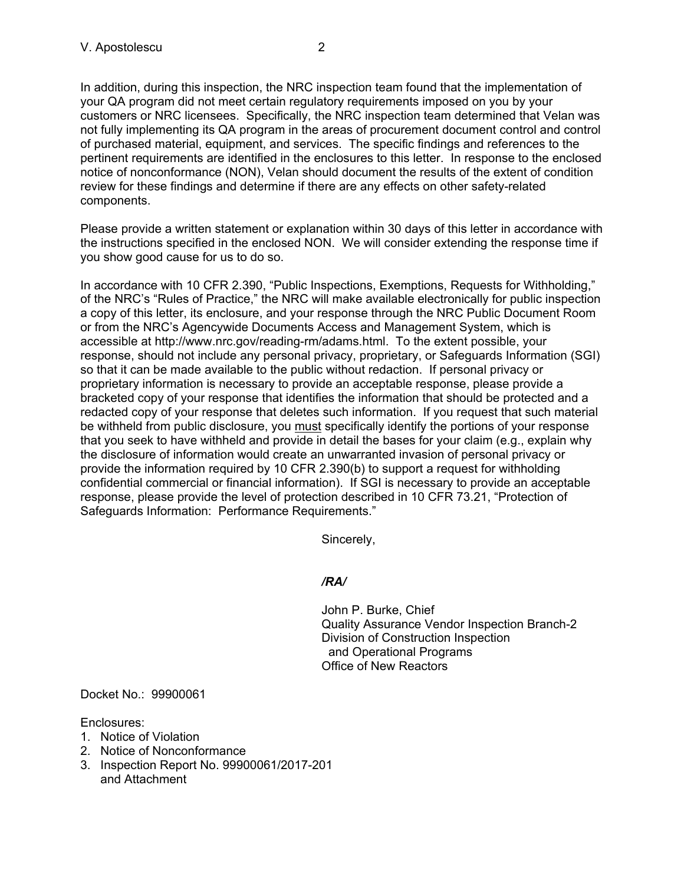In addition, during this inspection, the NRC inspection team found that the implementation of your QA program did not meet certain regulatory requirements imposed on you by your customers or NRC licensees. Specifically, the NRC inspection team determined that Velan was not fully implementing its QA program in the areas of procurement document control and control of purchased material, equipment, and services. The specific findings and references to the pertinent requirements are identified in the enclosures to this letter. In response to the enclosed notice of nonconformance (NON), Velan should document the results of the extent of condition review for these findings and determine if there are any effects on other safety-related components.

Please provide a written statement or explanation within 30 days of this letter in accordance with the instructions specified in the enclosed NON. We will consider extending the response time if you show good cause for us to do so.

In accordance with 10 CFR 2.390, "Public Inspections, Exemptions, Requests for Withholding," of the NRC's "Rules of Practice," the NRC will make available electronically for public inspection a copy of this letter, its enclosure, and your response through the NRC Public Document Room or from the NRC's Agencywide Documents Access and Management System, which is accessible at http://www.nrc.gov/reading-rm/adams.html. To the extent possible, your response, should not include any personal privacy, proprietary, or Safeguards Information (SGI) so that it can be made available to the public without redaction. If personal privacy or proprietary information is necessary to provide an acceptable response, please provide a bracketed copy of your response that identifies the information that should be protected and a redacted copy of your response that deletes such information. If you request that such material be withheld from public disclosure, you must specifically identify the portions of your response that you seek to have withheld and provide in detail the bases for your claim (e.g., explain why the disclosure of information would create an unwarranted invasion of personal privacy or provide the information required by 10 CFR 2.390(b) to support a request for withholding confidential commercial or financial information). If SGI is necessary to provide an acceptable response, please provide the level of protection described in 10 CFR 73.21, "Protection of Safeguards Information: Performance Requirements."

Sincerely,

# */RA/*

John P. Burke, Chief Quality Assurance Vendor Inspection Branch-2 Division of Construction Inspection and Operational Programs Office of New Reactors

Docket No.: 99900061

Enclosures:

- 1. Notice of Violation
- 2. Notice of Nonconformance
- 3. Inspection Report No. 99900061/2017-201 and Attachment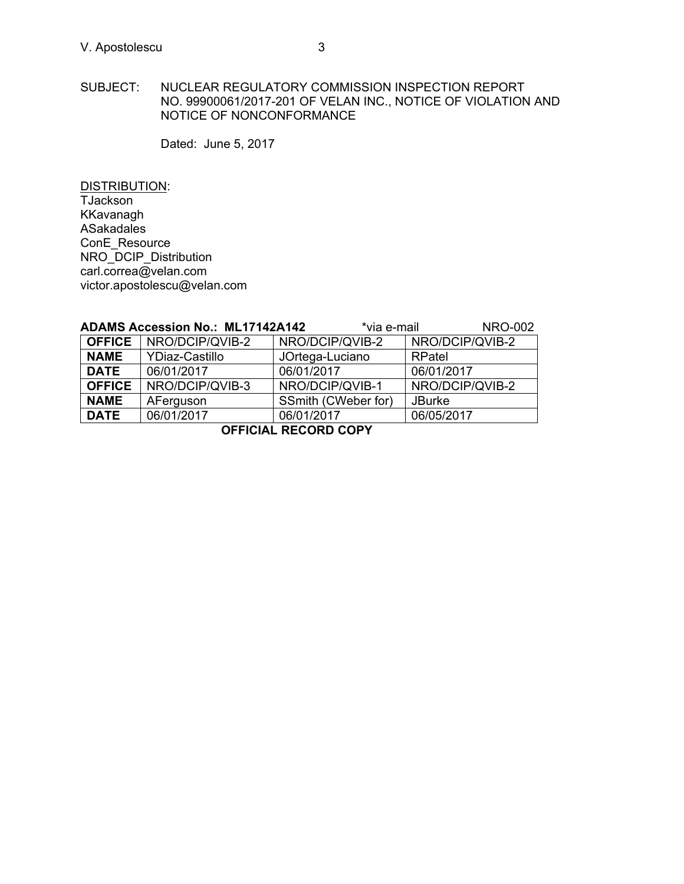Dated: June 5, 2017

DISTRIBUTION: TJackson KKavanagh ASakadales ConE\_Resource NRO\_DCIP\_Distribution carl.correa@velan.com victor.apostolescu@velan.com

|                             | <b>ADAMS Accession No.: ML17142A142</b> | *via e-mail         | <b>NRO-002</b>  |  |
|-----------------------------|-----------------------------------------|---------------------|-----------------|--|
| <b>OFFICE</b>               | NRO/DCIP/QVIB-2                         | NRO/DCIP/QVIB-2     | NRO/DCIP/QVIB-2 |  |
| <b>NAME</b>                 | <b>YDiaz-Castillo</b>                   | JOrtega-Luciano     | RPatel          |  |
| <b>DATE</b>                 | 06/01/2017                              | 06/01/2017          | 06/01/2017      |  |
| <b>OFFICE</b>               | NRO/DCIP/QVIB-3                         | NRO/DCIP/QVIB-1     | NRO/DCIP/QVIB-2 |  |
| <b>NAME</b>                 | AFerguson                               | SSmith (CWeber for) | <b>JBurke</b>   |  |
| <b>DATE</b>                 | 06/01/2017                              | 06/01/2017          | 06/05/2017      |  |
| <b>OFFICIAL RECORD COPY</b> |                                         |                     |                 |  |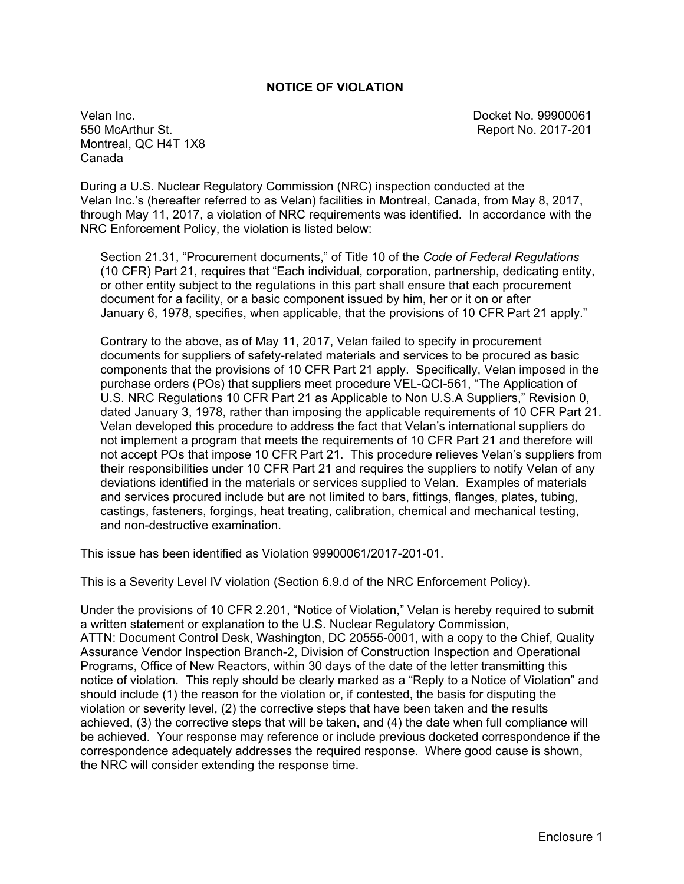### **NOTICE OF VIOLATION**

Velan Inc. Docket No. 99900061 550 McArthur St. Report No. 2017-201 Montreal, QC H4T 1X8 Canada

During a U.S. Nuclear Regulatory Commission (NRC) inspection conducted at the Velan Inc.'s (hereafter referred to as Velan) facilities in Montreal, Canada, from May 8, 2017, through May 11, 2017, a violation of NRC requirements was identified. In accordance with the NRC Enforcement Policy, the violation is listed below:

Section 21.31, "Procurement documents," of Title 10 of the *Code of Federal Regulations*  (10 CFR) Part 21, requires that "Each individual, corporation, partnership, dedicating entity, or other entity subject to the regulations in this part shall ensure that each procurement document for a facility, or a basic component issued by him, her or it on or after January 6, 1978, specifies, when applicable, that the provisions of 10 CFR Part 21 apply."

Contrary to the above, as of May 11, 2017, Velan failed to specify in procurement documents for suppliers of safety-related materials and services to be procured as basic components that the provisions of 10 CFR Part 21 apply. Specifically, Velan imposed in the purchase orders (POs) that suppliers meet procedure VEL-QCI-561, "The Application of U.S. NRC Regulations 10 CFR Part 21 as Applicable to Non U.S.A Suppliers," Revision 0, dated January 3, 1978, rather than imposing the applicable requirements of 10 CFR Part 21. Velan developed this procedure to address the fact that Velan's international suppliers do not implement a program that meets the requirements of 10 CFR Part 21 and therefore will not accept POs that impose 10 CFR Part 21. This procedure relieves Velan's suppliers from their responsibilities under 10 CFR Part 21 and requires the suppliers to notify Velan of any deviations identified in the materials or services supplied to Velan. Examples of materials and services procured include but are not limited to bars, fittings, flanges, plates, tubing, castings, fasteners, forgings, heat treating, calibration, chemical and mechanical testing, and non-destructive examination.

This issue has been identified as Violation 99900061/2017-201-01.

This is a Severity Level IV violation (Section 6.9.d of the NRC Enforcement Policy).

Under the provisions of 10 CFR 2.201, "Notice of Violation," Velan is hereby required to submit a written statement or explanation to the U.S. Nuclear Regulatory Commission, ATTN: Document Control Desk, Washington, DC 20555-0001, with a copy to the Chief, Quality Assurance Vendor Inspection Branch-2, Division of Construction Inspection and Operational Programs, Office of New Reactors, within 30 days of the date of the letter transmitting this notice of violation. This reply should be clearly marked as a "Reply to a Notice of Violation" and should include (1) the reason for the violation or, if contested, the basis for disputing the violation or severity level, (2) the corrective steps that have been taken and the results achieved, (3) the corrective steps that will be taken, and (4) the date when full compliance will be achieved. Your response may reference or include previous docketed correspondence if the correspondence adequately addresses the required response. Where good cause is shown, the NRC will consider extending the response time.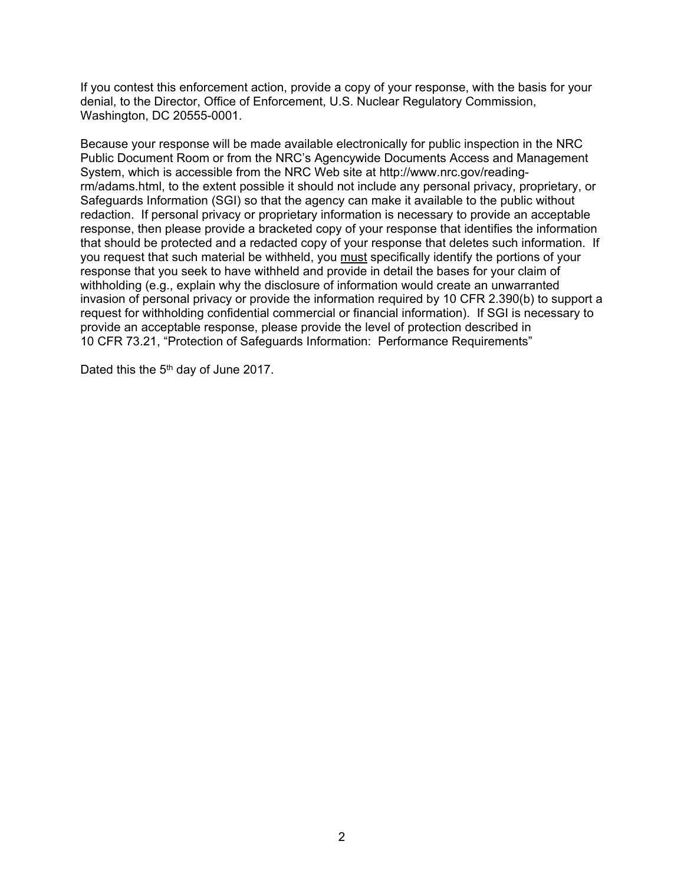If you contest this enforcement action, provide a copy of your response, with the basis for your denial, to the Director, Office of Enforcement, U.S. Nuclear Regulatory Commission, Washington, DC 20555-0001.

Because your response will be made available electronically for public inspection in the NRC Public Document Room or from the NRC's Agencywide Documents Access and Management System, which is accessible from the NRC Web site at http://www.nrc.gov/readingrm/adams.html, to the extent possible it should not include any personal privacy, proprietary, or Safeguards Information (SGI) so that the agency can make it available to the public without redaction. If personal privacy or proprietary information is necessary to provide an acceptable response, then please provide a bracketed copy of your response that identifies the information that should be protected and a redacted copy of your response that deletes such information. If you request that such material be withheld, you must specifically identify the portions of your response that you seek to have withheld and provide in detail the bases for your claim of withholding (e.g., explain why the disclosure of information would create an unwarranted invasion of personal privacy or provide the information required by 10 CFR 2.390(b) to support a request for withholding confidential commercial or financial information). If SGI is necessary to provide an acceptable response, please provide the level of protection described in 10 CFR 73.21, "Protection of Safeguards Information: Performance Requirements"

Dated this the 5<sup>th</sup> day of June 2017.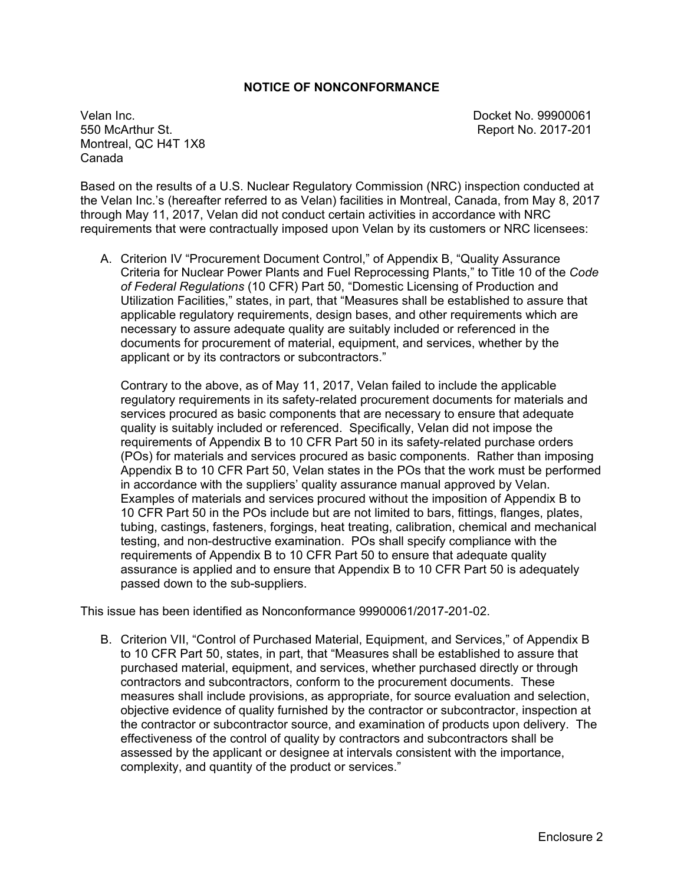### **NOTICE OF NONCONFORMANCE**

Velan Inc. Docket No. 99900061 Montreal, QC H4T 1X8 Canada

Report No. 2017-201

Based on the results of a U.S. Nuclear Regulatory Commission (NRC) inspection conducted at the Velan Inc.'s (hereafter referred to as Velan) facilities in Montreal, Canada, from May 8, 2017 through May 11, 2017, Velan did not conduct certain activities in accordance with NRC requirements that were contractually imposed upon Velan by its customers or NRC licensees:

A. Criterion IV "Procurement Document Control," of Appendix B, "Quality Assurance Criteria for Nuclear Power Plants and Fuel Reprocessing Plants," to Title 10 of the *Code of Federal Regulations* (10 CFR) Part 50, "Domestic Licensing of Production and Utilization Facilities," states, in part, that "Measures shall be established to assure that applicable regulatory requirements, design bases, and other requirements which are necessary to assure adequate quality are suitably included or referenced in the documents for procurement of material, equipment, and services, whether by the applicant or by its contractors or subcontractors."

Contrary to the above, as of May 11, 2017, Velan failed to include the applicable regulatory requirements in its safety-related procurement documents for materials and services procured as basic components that are necessary to ensure that adequate quality is suitably included or referenced. Specifically, Velan did not impose the requirements of Appendix B to 10 CFR Part 50 in its safety-related purchase orders (POs) for materials and services procured as basic components. Rather than imposing Appendix B to 10 CFR Part 50, Velan states in the POs that the work must be performed in accordance with the suppliers' quality assurance manual approved by Velan. Examples of materials and services procured without the imposition of Appendix B to 10 CFR Part 50 in the POs include but are not limited to bars, fittings, flanges, plates, tubing, castings, fasteners, forgings, heat treating, calibration, chemical and mechanical testing, and non-destructive examination. POs shall specify compliance with the requirements of Appendix B to 10 CFR Part 50 to ensure that adequate quality assurance is applied and to ensure that Appendix B to 10 CFR Part 50 is adequately passed down to the sub-suppliers.

This issue has been identified as Nonconformance 99900061/2017-201-02.

B. Criterion VII, "Control of Purchased Material, Equipment, and Services," of Appendix B to 10 CFR Part 50, states, in part, that "Measures shall be established to assure that purchased material, equipment, and services, whether purchased directly or through contractors and subcontractors, conform to the procurement documents. These measures shall include provisions, as appropriate, for source evaluation and selection, objective evidence of quality furnished by the contractor or subcontractor, inspection at the contractor or subcontractor source, and examination of products upon delivery. The effectiveness of the control of quality by contractors and subcontractors shall be assessed by the applicant or designee at intervals consistent with the importance, complexity, and quantity of the product or services."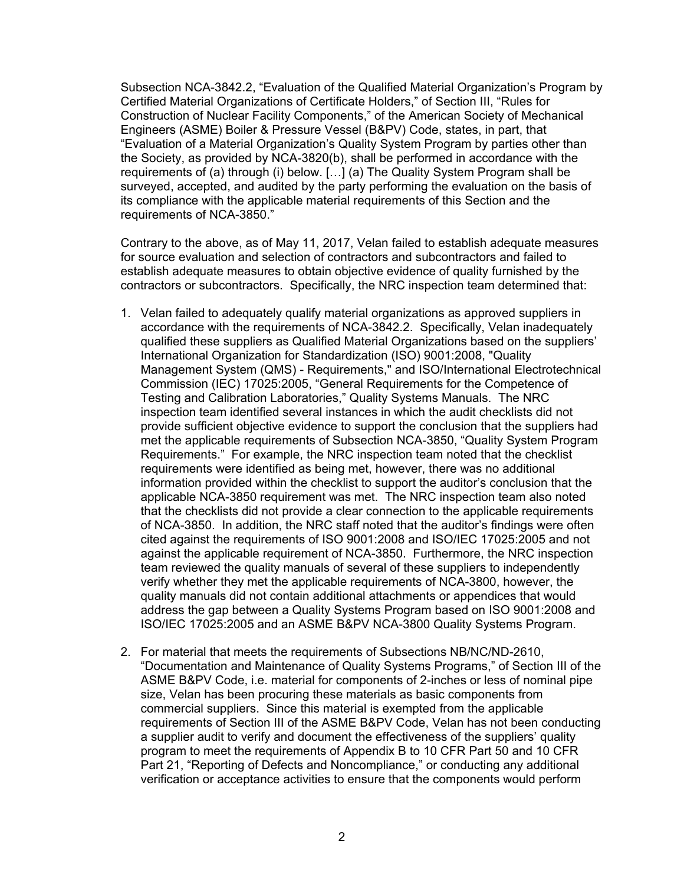Subsection NCA-3842.2, "Evaluation of the Qualified Material Organization's Program by Certified Material Organizations of Certificate Holders," of Section III, "Rules for Construction of Nuclear Facility Components," of the American Society of Mechanical Engineers (ASME) Boiler & Pressure Vessel (B&PV) Code, states, in part, that "Evaluation of a Material Organization's Quality System Program by parties other than the Society, as provided by NCA-3820(b), shall be performed in accordance with the requirements of (a) through (i) below. […] (a) The Quality System Program shall be surveyed, accepted, and audited by the party performing the evaluation on the basis of its compliance with the applicable material requirements of this Section and the requirements of NCA-3850."

Contrary to the above, as of May 11, 2017, Velan failed to establish adequate measures for source evaluation and selection of contractors and subcontractors and failed to establish adequate measures to obtain objective evidence of quality furnished by the contractors or subcontractors. Specifically, the NRC inspection team determined that:

- 1. Velan failed to adequately qualify material organizations as approved suppliers in accordance with the requirements of NCA-3842.2. Specifically, Velan inadequately qualified these suppliers as Qualified Material Organizations based on the suppliers' International Organization for Standardization (ISO) 9001:2008, "Quality Management System (QMS) - Requirements," and ISO/International Electrotechnical Commission (IEC) 17025:2005, "General Requirements for the Competence of Testing and Calibration Laboratories," Quality Systems Manuals. The NRC inspection team identified several instances in which the audit checklists did not provide sufficient objective evidence to support the conclusion that the suppliers had met the applicable requirements of Subsection NCA-3850, "Quality System Program Requirements." For example, the NRC inspection team noted that the checklist requirements were identified as being met, however, there was no additional information provided within the checklist to support the auditor's conclusion that the applicable NCA-3850 requirement was met. The NRC inspection team also noted that the checklists did not provide a clear connection to the applicable requirements of NCA-3850. In addition, the NRC staff noted that the auditor's findings were often cited against the requirements of ISO 9001:2008 and ISO/IEC 17025:2005 and not against the applicable requirement of NCA-3850. Furthermore, the NRC inspection team reviewed the quality manuals of several of these suppliers to independently verify whether they met the applicable requirements of NCA-3800, however, the quality manuals did not contain additional attachments or appendices that would address the gap between a Quality Systems Program based on ISO 9001:2008 and ISO/IEC 17025:2005 and an ASME B&PV NCA-3800 Quality Systems Program.
- 2. For material that meets the requirements of Subsections NB/NC/ND-2610, "Documentation and Maintenance of Quality Systems Programs," of Section III of the ASME B&PV Code, i.e. material for components of 2-inches or less of nominal pipe size, Velan has been procuring these materials as basic components from commercial suppliers. Since this material is exempted from the applicable requirements of Section III of the ASME B&PV Code, Velan has not been conducting a supplier audit to verify and document the effectiveness of the suppliers' quality program to meet the requirements of Appendix B to 10 CFR Part 50 and 10 CFR Part 21, "Reporting of Defects and Noncompliance," or conducting any additional verification or acceptance activities to ensure that the components would perform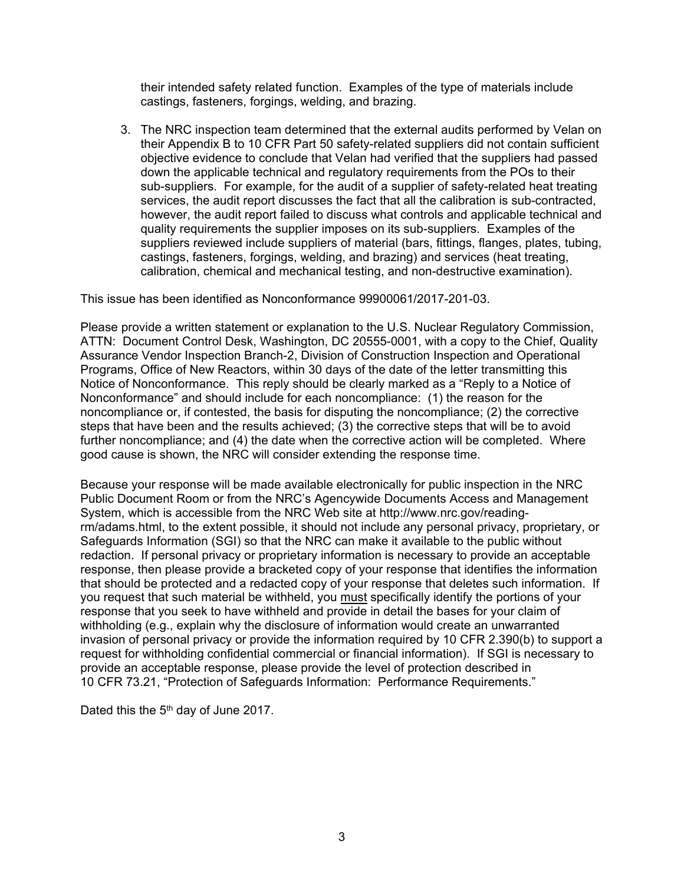their intended safety related function. Examples of the type of materials include castings, fasteners, forgings, welding, and brazing.

3. The NRC inspection team determined that the external audits performed by Velan on their Appendix B to 10 CFR Part 50 safety-related suppliers did not contain sufficient objective evidence to conclude that Velan had verified that the suppliers had passed down the applicable technical and regulatory requirements from the POs to their sub-suppliers. For example, for the audit of a supplier of safety-related heat treating services, the audit report discusses the fact that all the calibration is sub-contracted, however, the audit report failed to discuss what controls and applicable technical and quality requirements the supplier imposes on its sub-suppliers. Examples of the suppliers reviewed include suppliers of material (bars, fittings, flanges, plates, tubing, castings, fasteners, forgings, welding, and brazing) and services (heat treating, calibration, chemical and mechanical testing, and non-destructive examination).

This issue has been identified as Nonconformance 99900061/2017-201-03.

Please provide a written statement or explanation to the U.S. Nuclear Regulatory Commission, ATTN: Document Control Desk, Washington, DC 20555-0001, with a copy to the Chief, Quality Assurance Vendor Inspection Branch-2, Division of Construction Inspection and Operational Programs, Office of New Reactors, within 30 days of the date of the letter transmitting this Notice of Nonconformance. This reply should be clearly marked as a "Reply to a Notice of Nonconformance" and should include for each noncompliance: (1) the reason for the noncompliance or, if contested, the basis for disputing the noncompliance; (2) the corrective steps that have been and the results achieved; (3) the corrective steps that will be to avoid further noncompliance; and (4) the date when the corrective action will be completed. Where good cause is shown, the NRC will consider extending the response time.

Because your response will be made available electronically for public inspection in the NRC Public Document Room or from the NRC's Agencywide Documents Access and Management System, which is accessible from the NRC Web site at http://www.nrc.gov/readingrm/adams.html, to the extent possible, it should not include any personal privacy, proprietary, or Safeguards Information (SGI) so that the NRC can make it available to the public without redaction. If personal privacy or proprietary information is necessary to provide an acceptable response, then please provide a bracketed copy of your response that identifies the information that should be protected and a redacted copy of your response that deletes such information. If you request that such material be withheld, you must specifically identify the portions of your response that you seek to have withheld and provide in detail the bases for your claim of withholding (e.g., explain why the disclosure of information would create an unwarranted invasion of personal privacy or provide the information required by 10 CFR 2.390(b) to support a request for withholding confidential commercial or financial information). If SGI is necessary to provide an acceptable response, please provide the level of protection described in 10 CFR 73.21, "Protection of Safeguards Information: Performance Requirements."

Dated this the 5<sup>th</sup> day of June 2017.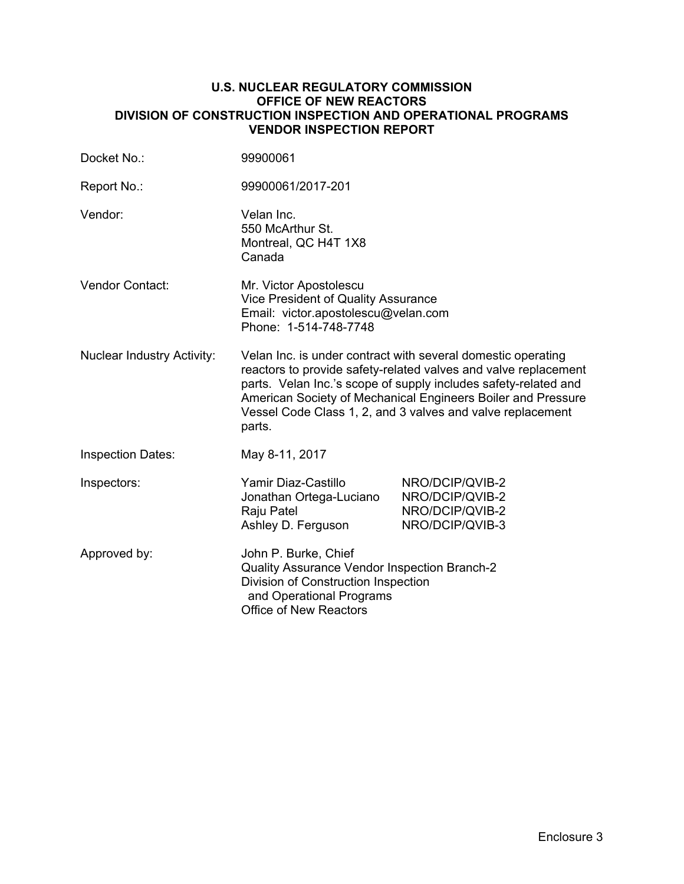### **U.S. NUCLEAR REGULATORY COMMISSION OFFICE OF NEW REACTORS DIVISION OF CONSTRUCTION INSPECTION AND OPERATIONAL PROGRAMS VENDOR INSPECTION REPORT**

| Docket No.:                       | 99900061                                                                                                                                                                                                                                                                                                                                   |                                                                          |  |
|-----------------------------------|--------------------------------------------------------------------------------------------------------------------------------------------------------------------------------------------------------------------------------------------------------------------------------------------------------------------------------------------|--------------------------------------------------------------------------|--|
| Report No.:                       | 99900061/2017-201                                                                                                                                                                                                                                                                                                                          |                                                                          |  |
| Vendor:                           | Velan Inc.<br>550 McArthur St.<br>Montreal, QC H4T 1X8<br>Canada                                                                                                                                                                                                                                                                           |                                                                          |  |
| Vendor Contact:                   | Mr. Victor Apostolescu<br>Vice President of Quality Assurance<br>Email: victor.apostolescu@velan.com<br>Phone: 1-514-748-7748                                                                                                                                                                                                              |                                                                          |  |
| <b>Nuclear Industry Activity:</b> | Velan Inc. is under contract with several domestic operating<br>reactors to provide safety-related valves and valve replacement<br>parts. Velan Inc.'s scope of supply includes safety-related and<br>American Society of Mechanical Engineers Boiler and Pressure<br>Vessel Code Class 1, 2, and 3 valves and valve replacement<br>parts. |                                                                          |  |
| <b>Inspection Dates:</b>          | May 8-11, 2017                                                                                                                                                                                                                                                                                                                             |                                                                          |  |
| Inspectors:                       | Yamir Diaz-Castillo<br>Jonathan Ortega-Luciano<br>Raju Patel<br>Ashley D. Ferguson                                                                                                                                                                                                                                                         | NRO/DCIP/QVIB-2<br>NRO/DCIP/QVIB-2<br>NRO/DCIP/QVIB-2<br>NRO/DCIP/QVIB-3 |  |
| Approved by:                      | John P. Burke, Chief<br>Quality Assurance Vendor Inspection Branch-2<br>Division of Construction Inspection<br>and Operational Programs<br><b>Office of New Reactors</b>                                                                                                                                                                   |                                                                          |  |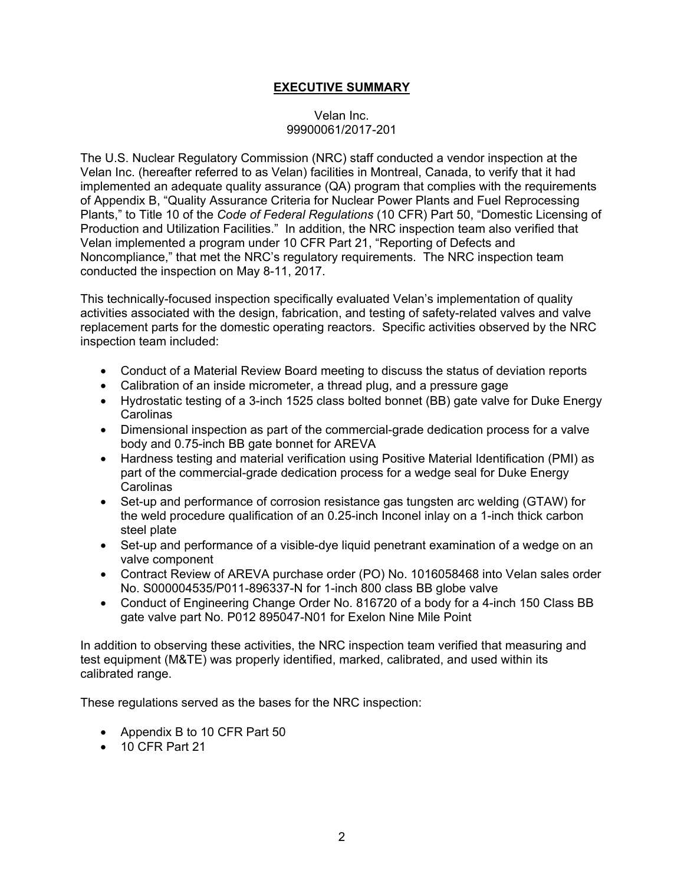# **EXECUTIVE SUMMARY**

### Velan Inc. 99900061/2017-201

The U.S. Nuclear Regulatory Commission (NRC) staff conducted a vendor inspection at the Velan Inc. (hereafter referred to as Velan) facilities in Montreal, Canada, to verify that it had implemented an adequate quality assurance (QA) program that complies with the requirements of Appendix B, "Quality Assurance Criteria for Nuclear Power Plants and Fuel Reprocessing Plants," to Title 10 of the *Code of Federal Regulations* (10 CFR) Part 50, "Domestic Licensing of Production and Utilization Facilities." In addition, the NRC inspection team also verified that Velan implemented a program under 10 CFR Part 21, "Reporting of Defects and Noncompliance," that met the NRC's regulatory requirements. The NRC inspection team conducted the inspection on May 8-11, 2017.

This technically-focused inspection specifically evaluated Velan's implementation of quality activities associated with the design, fabrication, and testing of safety-related valves and valve replacement parts for the domestic operating reactors. Specific activities observed by the NRC inspection team included:

- Conduct of a Material Review Board meeting to discuss the status of deviation reports
- Calibration of an inside micrometer, a thread plug, and a pressure gage
- Hydrostatic testing of a 3-inch 1525 class bolted bonnet (BB) gate valve for Duke Energy **Carolinas**
- Dimensional inspection as part of the commercial-grade dedication process for a valve body and 0.75-inch BB gate bonnet for AREVA
- Hardness testing and material verification using Positive Material Identification (PMI) as part of the commercial-grade dedication process for a wedge seal for Duke Energy **Carolinas**
- Set-up and performance of corrosion resistance gas tungsten arc welding (GTAW) for the weld procedure qualification of an 0.25-inch Inconel inlay on a 1-inch thick carbon steel plate
- Set-up and performance of a visible-dye liquid penetrant examination of a wedge on an valve component
- Contract Review of AREVA purchase order (PO) No. 1016058468 into Velan sales order No. S000004535/P011-896337-N for 1-inch 800 class BB globe valve
- Conduct of Engineering Change Order No. 816720 of a body for a 4-inch 150 Class BB gate valve part No. P012 895047-N01 for Exelon Nine Mile Point

In addition to observing these activities, the NRC inspection team verified that measuring and test equipment (M&TE) was properly identified, marked, calibrated, and used within its calibrated range.

These regulations served as the bases for the NRC inspection:

- Appendix B to 10 CFR Part 50
- 10 CFR Part 21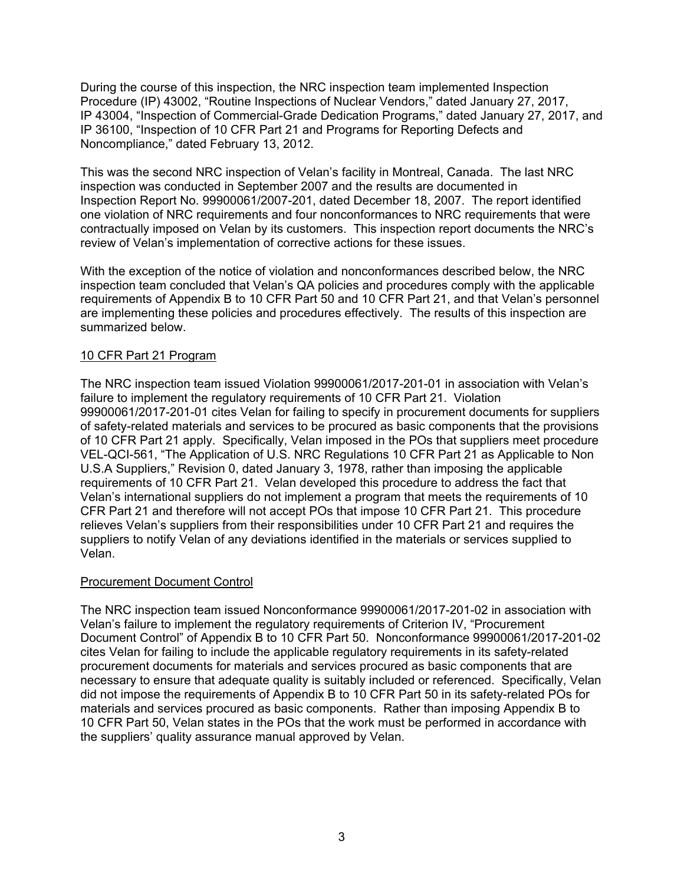During the course of this inspection, the NRC inspection team implemented Inspection Procedure (IP) 43002, "Routine Inspections of Nuclear Vendors," dated January 27, 2017, IP 43004, "Inspection of Commercial-Grade Dedication Programs," dated January 27, 2017, and IP 36100, "Inspection of 10 CFR Part 21 and Programs for Reporting Defects and Noncompliance," dated February 13, 2012.

This was the second NRC inspection of Velan's facility in Montreal, Canada. The last NRC inspection was conducted in September 2007 and the results are documented in Inspection Report No. 99900061/2007-201, dated December 18, 2007. The report identified one violation of NRC requirements and four nonconformances to NRC requirements that were contractually imposed on Velan by its customers. This inspection report documents the NRC's review of Velan's implementation of corrective actions for these issues.

With the exception of the notice of violation and nonconformances described below, the NRC inspection team concluded that Velan's QA policies and procedures comply with the applicable requirements of Appendix B to 10 CFR Part 50 and 10 CFR Part 21, and that Velan's personnel are implementing these policies and procedures effectively. The results of this inspection are summarized below.

# 10 CFR Part 21 Program

The NRC inspection team issued Violation 99900061/2017-201-01 in association with Velan's failure to implement the regulatory requirements of 10 CFR Part 21. Violation 99900061/2017-201-01 cites Velan for failing to specify in procurement documents for suppliers of safety-related materials and services to be procured as basic components that the provisions of 10 CFR Part 21 apply. Specifically, Velan imposed in the POs that suppliers meet procedure VEL-QCI-561, "The Application of U.S. NRC Regulations 10 CFR Part 21 as Applicable to Non U.S.A Suppliers," Revision 0, dated January 3, 1978, rather than imposing the applicable requirements of 10 CFR Part 21. Velan developed this procedure to address the fact that Velan's international suppliers do not implement a program that meets the requirements of 10 CFR Part 21 and therefore will not accept POs that impose 10 CFR Part 21. This procedure relieves Velan's suppliers from their responsibilities under 10 CFR Part 21 and requires the suppliers to notify Velan of any deviations identified in the materials or services supplied to Velan.

# Procurement Document Control

The NRC inspection team issued Nonconformance 99900061/2017-201-02 in association with Velan's failure to implement the regulatory requirements of Criterion IV, "Procurement Document Control" of Appendix B to 10 CFR Part 50. Nonconformance 99900061/2017-201-02 cites Velan for failing to include the applicable regulatory requirements in its safety-related procurement documents for materials and services procured as basic components that are necessary to ensure that adequate quality is suitably included or referenced. Specifically, Velan did not impose the requirements of Appendix B to 10 CFR Part 50 in its safety-related POs for materials and services procured as basic components. Rather than imposing Appendix B to 10 CFR Part 50, Velan states in the POs that the work must be performed in accordance with the suppliers' quality assurance manual approved by Velan.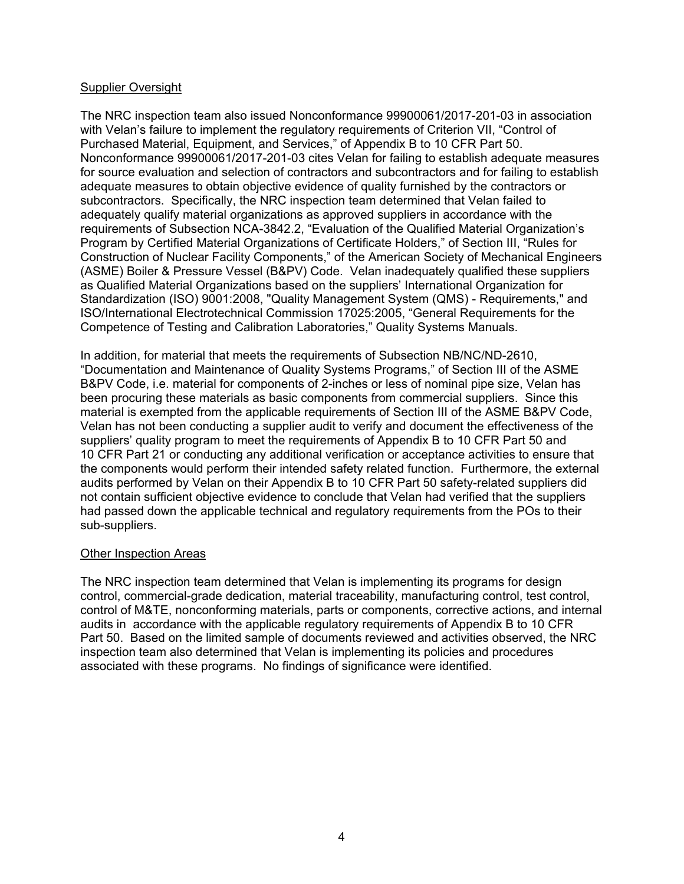### Supplier Oversight

The NRC inspection team also issued Nonconformance 99900061/2017-201-03 in association with Velan's failure to implement the regulatory requirements of Criterion VII, "Control of Purchased Material, Equipment, and Services," of Appendix B to 10 CFR Part 50. Nonconformance 99900061/2017-201-03 cites Velan for failing to establish adequate measures for source evaluation and selection of contractors and subcontractors and for failing to establish adequate measures to obtain objective evidence of quality furnished by the contractors or subcontractors. Specifically, the NRC inspection team determined that Velan failed to adequately qualify material organizations as approved suppliers in accordance with the requirements of Subsection NCA-3842.2, "Evaluation of the Qualified Material Organization's Program by Certified Material Organizations of Certificate Holders," of Section III, "Rules for Construction of Nuclear Facility Components," of the American Society of Mechanical Engineers (ASME) Boiler & Pressure Vessel (B&PV) Code. Velan inadequately qualified these suppliers as Qualified Material Organizations based on the suppliers' International Organization for Standardization (ISO) 9001:2008, "Quality Management System (QMS) - Requirements," and ISO/International Electrotechnical Commission 17025:2005, "General Requirements for the Competence of Testing and Calibration Laboratories," Quality Systems Manuals.

In addition, for material that meets the requirements of Subsection NB/NC/ND-2610, "Documentation and Maintenance of Quality Systems Programs," of Section III of the ASME B&PV Code, i.e. material for components of 2-inches or less of nominal pipe size, Velan has been procuring these materials as basic components from commercial suppliers. Since this material is exempted from the applicable requirements of Section III of the ASME B&PV Code, Velan has not been conducting a supplier audit to verify and document the effectiveness of the suppliers' quality program to meet the requirements of Appendix B to 10 CFR Part 50 and 10 CFR Part 21 or conducting any additional verification or acceptance activities to ensure that the components would perform their intended safety related function. Furthermore, the external audits performed by Velan on their Appendix B to 10 CFR Part 50 safety-related suppliers did not contain sufficient objective evidence to conclude that Velan had verified that the suppliers had passed down the applicable technical and regulatory requirements from the POs to their sub-suppliers.

#### Other Inspection Areas

The NRC inspection team determined that Velan is implementing its programs for design control, commercial-grade dedication, material traceability, manufacturing control, test control, control of M&TE, nonconforming materials, parts or components, corrective actions, and internal audits in accordance with the applicable regulatory requirements of Appendix B to 10 CFR Part 50. Based on the limited sample of documents reviewed and activities observed, the NRC inspection team also determined that Velan is implementing its policies and procedures associated with these programs. No findings of significance were identified.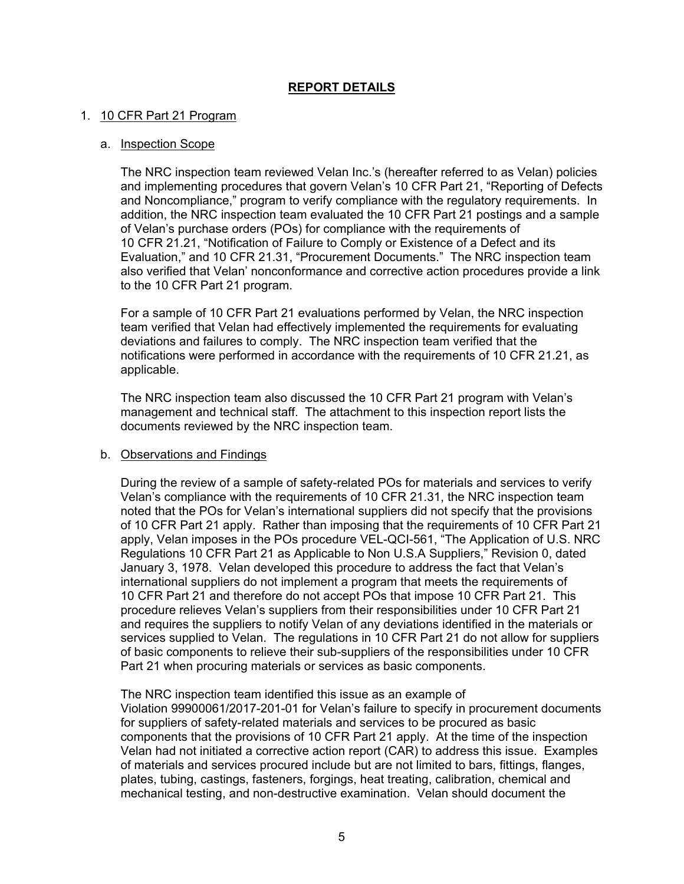# **REPORT DETAILS**

### 1. 10 CFR Part 21 Program

#### a. Inspection Scope

The NRC inspection team reviewed Velan Inc.'s (hereafter referred to as Velan) policies and implementing procedures that govern Velan's 10 CFR Part 21, "Reporting of Defects and Noncompliance," program to verify compliance with the regulatory requirements. In addition, the NRC inspection team evaluated the 10 CFR Part 21 postings and a sample of Velan's purchase orders (POs) for compliance with the requirements of 10 CFR 21.21, "Notification of Failure to Comply or Existence of a Defect and its Evaluation," and 10 CFR 21.31, "Procurement Documents." The NRC inspection team also verified that Velan' nonconformance and corrective action procedures provide a link to the 10 CFR Part 21 program.

For a sample of 10 CFR Part 21 evaluations performed by Velan, the NRC inspection team verified that Velan had effectively implemented the requirements for evaluating deviations and failures to comply. The NRC inspection team verified that the notifications were performed in accordance with the requirements of 10 CFR 21.21, as applicable.

The NRC inspection team also discussed the 10 CFR Part 21 program with Velan's management and technical staff. The attachment to this inspection report lists the documents reviewed by the NRC inspection team.

#### b. Observations and Findings

During the review of a sample of safety-related POs for materials and services to verify Velan's compliance with the requirements of 10 CFR 21.31, the NRC inspection team noted that the POs for Velan's international suppliers did not specify that the provisions of 10 CFR Part 21 apply. Rather than imposing that the requirements of 10 CFR Part 21 apply, Velan imposes in the POs procedure VEL-QCI-561, "The Application of U.S. NRC Regulations 10 CFR Part 21 as Applicable to Non U.S.A Suppliers," Revision 0, dated January 3, 1978. Velan developed this procedure to address the fact that Velan's international suppliers do not implement a program that meets the requirements of 10 CFR Part 21 and therefore do not accept POs that impose 10 CFR Part 21. This procedure relieves Velan's suppliers from their responsibilities under 10 CFR Part 21 and requires the suppliers to notify Velan of any deviations identified in the materials or services supplied to Velan. The regulations in 10 CFR Part 21 do not allow for suppliers of basic components to relieve their sub-suppliers of the responsibilities under 10 CFR Part 21 when procuring materials or services as basic components.

The NRC inspection team identified this issue as an example of Violation 99900061/2017-201-01 for Velan's failure to specify in procurement documents for suppliers of safety-related materials and services to be procured as basic components that the provisions of 10 CFR Part 21 apply. At the time of the inspection Velan had not initiated a corrective action report (CAR) to address this issue. Examples of materials and services procured include but are not limited to bars, fittings, flanges, plates, tubing, castings, fasteners, forgings, heat treating, calibration, chemical and mechanical testing, and non-destructive examination. Velan should document the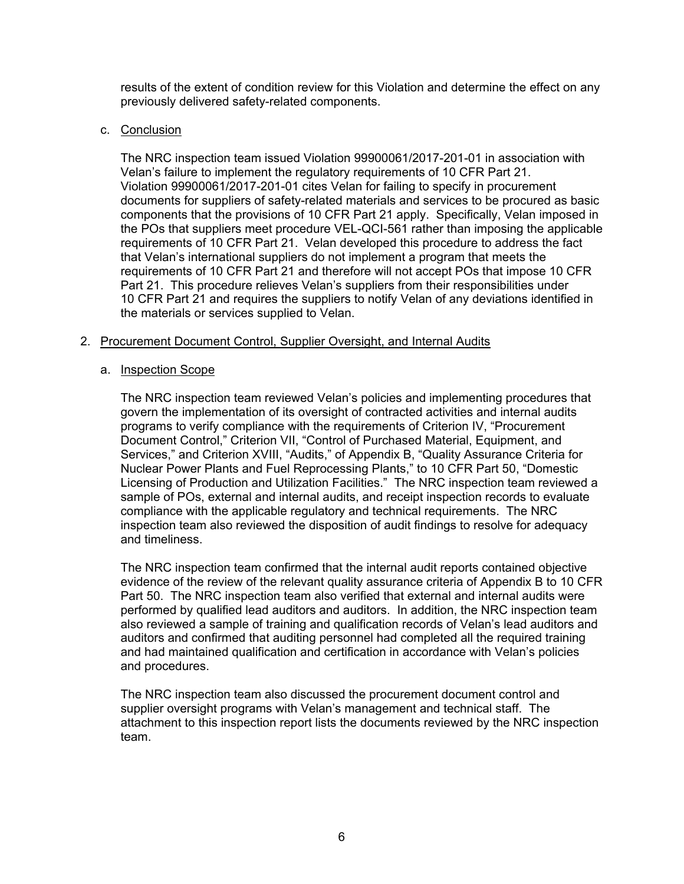results of the extent of condition review for this Violation and determine the effect on any previously delivered safety-related components.

### c. Conclusion

The NRC inspection team issued Violation 99900061/2017-201-01 in association with Velan's failure to implement the regulatory requirements of 10 CFR Part 21. Violation 99900061/2017-201-01 cites Velan for failing to specify in procurement documents for suppliers of safety-related materials and services to be procured as basic components that the provisions of 10 CFR Part 21 apply. Specifically, Velan imposed in the POs that suppliers meet procedure VEL-QCI-561 rather than imposing the applicable requirements of 10 CFR Part 21. Velan developed this procedure to address the fact that Velan's international suppliers do not implement a program that meets the requirements of 10 CFR Part 21 and therefore will not accept POs that impose 10 CFR Part 21. This procedure relieves Velan's suppliers from their responsibilities under 10 CFR Part 21 and requires the suppliers to notify Velan of any deviations identified in the materials or services supplied to Velan.

### 2. Procurement Document Control, Supplier Oversight, and Internal Audits

#### a. Inspection Scope

The NRC inspection team reviewed Velan's policies and implementing procedures that govern the implementation of its oversight of contracted activities and internal audits programs to verify compliance with the requirements of Criterion IV, "Procurement Document Control," Criterion VII, "Control of Purchased Material, Equipment, and Services," and Criterion XVIII, "Audits," of Appendix B, "Quality Assurance Criteria for Nuclear Power Plants and Fuel Reprocessing Plants," to 10 CFR Part 50, "Domestic Licensing of Production and Utilization Facilities." The NRC inspection team reviewed a sample of POs, external and internal audits, and receipt inspection records to evaluate compliance with the applicable regulatory and technical requirements. The NRC inspection team also reviewed the disposition of audit findings to resolve for adequacy and timeliness.

The NRC inspection team confirmed that the internal audit reports contained objective evidence of the review of the relevant quality assurance criteria of Appendix B to 10 CFR Part 50. The NRC inspection team also verified that external and internal audits were performed by qualified lead auditors and auditors. In addition, the NRC inspection team also reviewed a sample of training and qualification records of Velan's lead auditors and auditors and confirmed that auditing personnel had completed all the required training and had maintained qualification and certification in accordance with Velan's policies and procedures.

The NRC inspection team also discussed the procurement document control and supplier oversight programs with Velan's management and technical staff. The attachment to this inspection report lists the documents reviewed by the NRC inspection team.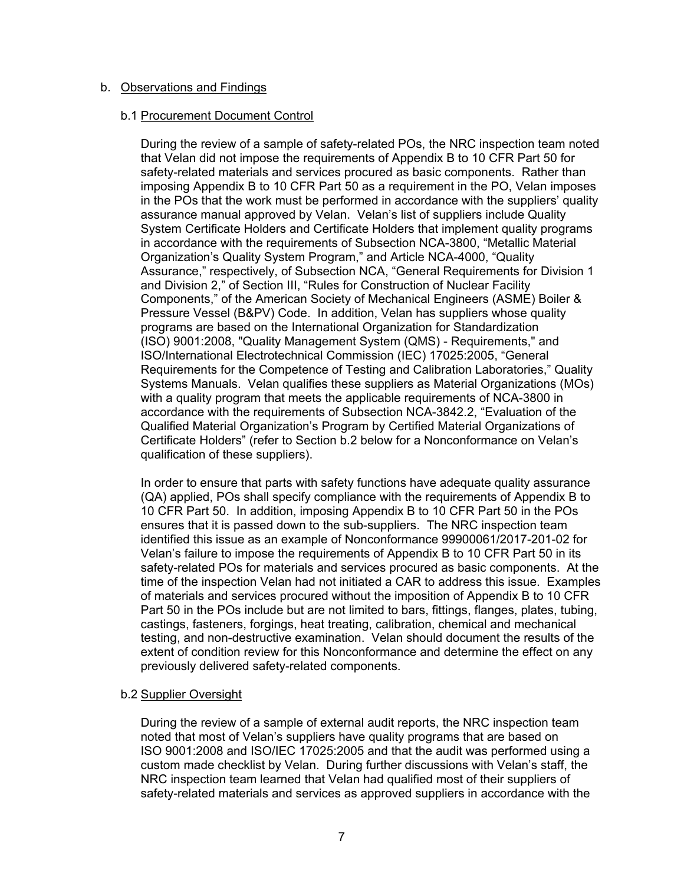### b. Observations and Findings

#### b.1 Procurement Document Control

During the review of a sample of safety-related POs, the NRC inspection team noted that Velan did not impose the requirements of Appendix B to 10 CFR Part 50 for safety-related materials and services procured as basic components. Rather than imposing Appendix B to 10 CFR Part 50 as a requirement in the PO, Velan imposes in the POs that the work must be performed in accordance with the suppliers' quality assurance manual approved by Velan. Velan's list of suppliers include Quality System Certificate Holders and Certificate Holders that implement quality programs in accordance with the requirements of Subsection NCA-3800, "Metallic Material Organization's Quality System Program," and Article NCA-4000, "Quality Assurance," respectively, of Subsection NCA, "General Requirements for Division 1 and Division 2," of Section III, "Rules for Construction of Nuclear Facility Components," of the American Society of Mechanical Engineers (ASME) Boiler & Pressure Vessel (B&PV) Code. In addition, Velan has suppliers whose quality programs are based on the International Organization for Standardization (ISO) 9001:2008, "Quality Management System (QMS) - Requirements," and ISO/International Electrotechnical Commission (IEC) 17025:2005, "General Requirements for the Competence of Testing and Calibration Laboratories," Quality Systems Manuals. Velan qualifies these suppliers as Material Organizations (MOs) with a quality program that meets the applicable requirements of NCA-3800 in accordance with the requirements of Subsection NCA-3842.2, "Evaluation of the Qualified Material Organization's Program by Certified Material Organizations of Certificate Holders" (refer to Section b.2 below for a Nonconformance on Velan's qualification of these suppliers).

In order to ensure that parts with safety functions have adequate quality assurance (QA) applied, POs shall specify compliance with the requirements of Appendix B to 10 CFR Part 50. In addition, imposing Appendix B to 10 CFR Part 50 in the POs ensures that it is passed down to the sub-suppliers. The NRC inspection team identified this issue as an example of Nonconformance 99900061/2017-201-02 for Velan's failure to impose the requirements of Appendix B to 10 CFR Part 50 in its safety-related POs for materials and services procured as basic components. At the time of the inspection Velan had not initiated a CAR to address this issue. Examples of materials and services procured without the imposition of Appendix B to 10 CFR Part 50 in the POs include but are not limited to bars, fittings, flanges, plates, tubing, castings, fasteners, forgings, heat treating, calibration, chemical and mechanical testing, and non-destructive examination. Velan should document the results of the extent of condition review for this Nonconformance and determine the effect on any previously delivered safety-related components.

# b.2 Supplier Oversight

During the review of a sample of external audit reports, the NRC inspection team noted that most of Velan's suppliers have quality programs that are based on ISO 9001:2008 and ISO/IEC 17025:2005 and that the audit was performed using a custom made checklist by Velan. During further discussions with Velan's staff, the NRC inspection team learned that Velan had qualified most of their suppliers of safety-related materials and services as approved suppliers in accordance with the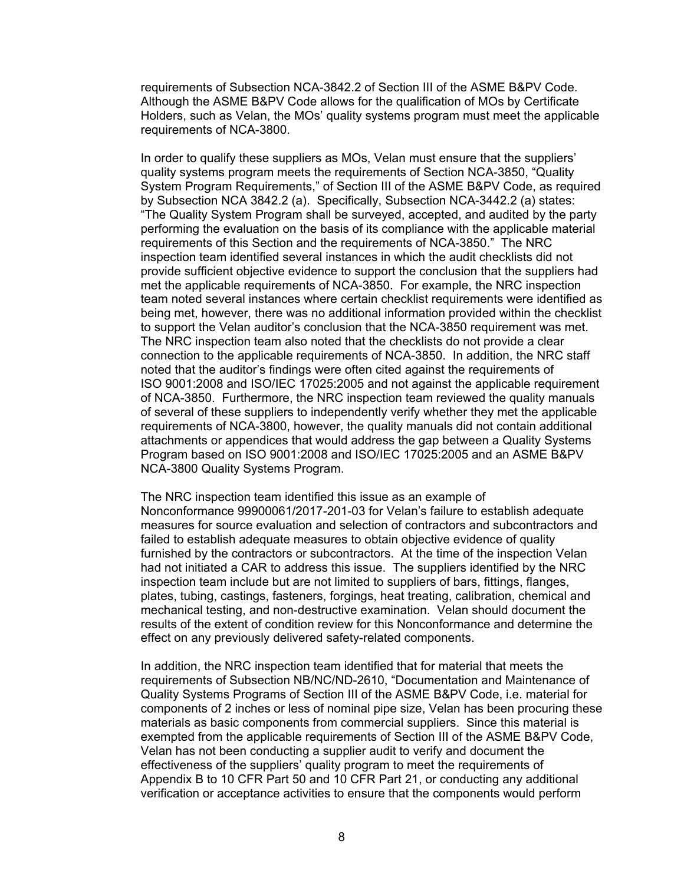requirements of Subsection NCA-3842.2 of Section III of the ASME B&PV Code. Although the ASME B&PV Code allows for the qualification of MOs by Certificate Holders, such as Velan, the MOs' quality systems program must meet the applicable requirements of NCA-3800.

In order to qualify these suppliers as MOs, Velan must ensure that the suppliers' quality systems program meets the requirements of Section NCA-3850, "Quality System Program Requirements," of Section III of the ASME B&PV Code, as required by Subsection NCA 3842.2 (a). Specifically, Subsection NCA-3442.2 (a) states: "The Quality System Program shall be surveyed, accepted, and audited by the party performing the evaluation on the basis of its compliance with the applicable material requirements of this Section and the requirements of NCA-3850." The NRC inspection team identified several instances in which the audit checklists did not provide sufficient objective evidence to support the conclusion that the suppliers had met the applicable requirements of NCA-3850. For example, the NRC inspection team noted several instances where certain checklist requirements were identified as being met, however, there was no additional information provided within the checklist to support the Velan auditor's conclusion that the NCA-3850 requirement was met. The NRC inspection team also noted that the checklists do not provide a clear connection to the applicable requirements of NCA-3850. In addition, the NRC staff noted that the auditor's findings were often cited against the requirements of ISO 9001:2008 and ISO/IEC 17025:2005 and not against the applicable requirement of NCA-3850. Furthermore, the NRC inspection team reviewed the quality manuals of several of these suppliers to independently verify whether they met the applicable requirements of NCA-3800, however, the quality manuals did not contain additional attachments or appendices that would address the gap between a Quality Systems Program based on ISO 9001:2008 and ISO/IEC 17025:2005 and an ASME B&PV NCA-3800 Quality Systems Program.

The NRC inspection team identified this issue as an example of Nonconformance 99900061/2017-201-03 for Velan's failure to establish adequate measures for source evaluation and selection of contractors and subcontractors and failed to establish adequate measures to obtain objective evidence of quality furnished by the contractors or subcontractors. At the time of the inspection Velan had not initiated a CAR to address this issue. The suppliers identified by the NRC inspection team include but are not limited to suppliers of bars, fittings, flanges, plates, tubing, castings, fasteners, forgings, heat treating, calibration, chemical and mechanical testing, and non-destructive examination. Velan should document the results of the extent of condition review for this Nonconformance and determine the effect on any previously delivered safety-related components.

In addition, the NRC inspection team identified that for material that meets the requirements of Subsection NB/NC/ND-2610, "Documentation and Maintenance of Quality Systems Programs of Section III of the ASME B&PV Code, i.e. material for components of 2 inches or less of nominal pipe size, Velan has been procuring these materials as basic components from commercial suppliers. Since this material is exempted from the applicable requirements of Section III of the ASME B&PV Code, Velan has not been conducting a supplier audit to verify and document the effectiveness of the suppliers' quality program to meet the requirements of Appendix B to 10 CFR Part 50 and 10 CFR Part 21, or conducting any additional verification or acceptance activities to ensure that the components would perform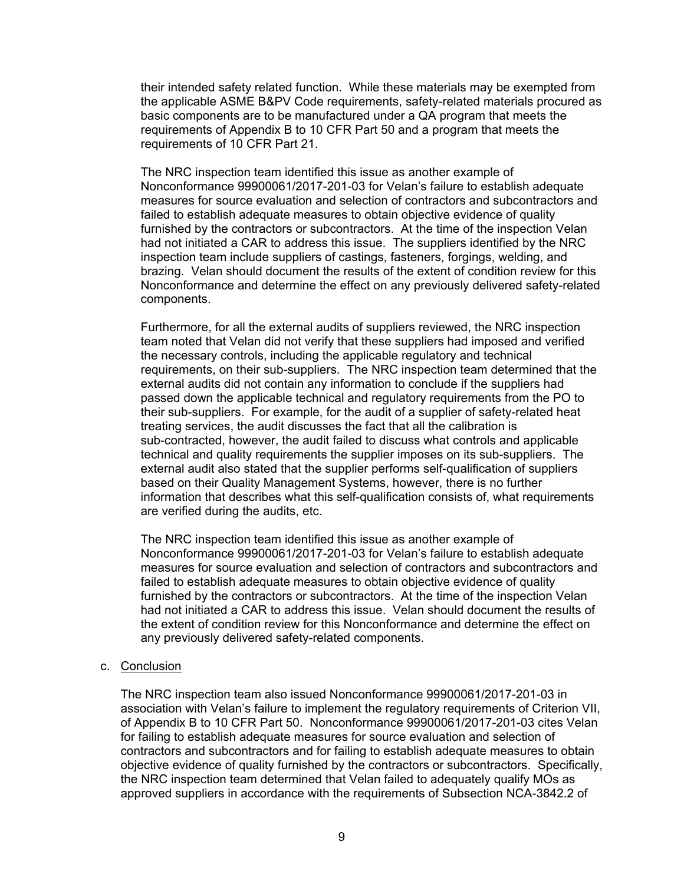their intended safety related function. While these materials may be exempted from the applicable ASME B&PV Code requirements, safety-related materials procured as basic components are to be manufactured under a QA program that meets the requirements of Appendix B to 10 CFR Part 50 and a program that meets the requirements of 10 CFR Part 21.

The NRC inspection team identified this issue as another example of Nonconformance 99900061/2017-201-03 for Velan's failure to establish adequate measures for source evaluation and selection of contractors and subcontractors and failed to establish adequate measures to obtain objective evidence of quality furnished by the contractors or subcontractors. At the time of the inspection Velan had not initiated a CAR to address this issue. The suppliers identified by the NRC inspection team include suppliers of castings, fasteners, forgings, welding, and brazing. Velan should document the results of the extent of condition review for this Nonconformance and determine the effect on any previously delivered safety-related components.

Furthermore, for all the external audits of suppliers reviewed, the NRC inspection team noted that Velan did not verify that these suppliers had imposed and verified the necessary controls, including the applicable regulatory and technical requirements, on their sub-suppliers. The NRC inspection team determined that the external audits did not contain any information to conclude if the suppliers had passed down the applicable technical and regulatory requirements from the PO to their sub-suppliers. For example, for the audit of a supplier of safety-related heat treating services, the audit discusses the fact that all the calibration is sub-contracted, however, the audit failed to discuss what controls and applicable technical and quality requirements the supplier imposes on its sub-suppliers. The external audit also stated that the supplier performs self-qualification of suppliers based on their Quality Management Systems, however, there is no further information that describes what this self-qualification consists of, what requirements are verified during the audits, etc.

The NRC inspection team identified this issue as another example of Nonconformance 99900061/2017-201-03 for Velan's failure to establish adequate measures for source evaluation and selection of contractors and subcontractors and failed to establish adequate measures to obtain objective evidence of quality furnished by the contractors or subcontractors. At the time of the inspection Velan had not initiated a CAR to address this issue. Velan should document the results of the extent of condition review for this Nonconformance and determine the effect on any previously delivered safety-related components.

#### c. Conclusion

The NRC inspection team also issued Nonconformance 99900061/2017-201-03 in association with Velan's failure to implement the regulatory requirements of Criterion VII, of Appendix B to 10 CFR Part 50. Nonconformance 99900061/2017-201-03 cites Velan for failing to establish adequate measures for source evaluation and selection of contractors and subcontractors and for failing to establish adequate measures to obtain objective evidence of quality furnished by the contractors or subcontractors. Specifically, the NRC inspection team determined that Velan failed to adequately qualify MOs as approved suppliers in accordance with the requirements of Subsection NCA-3842.2 of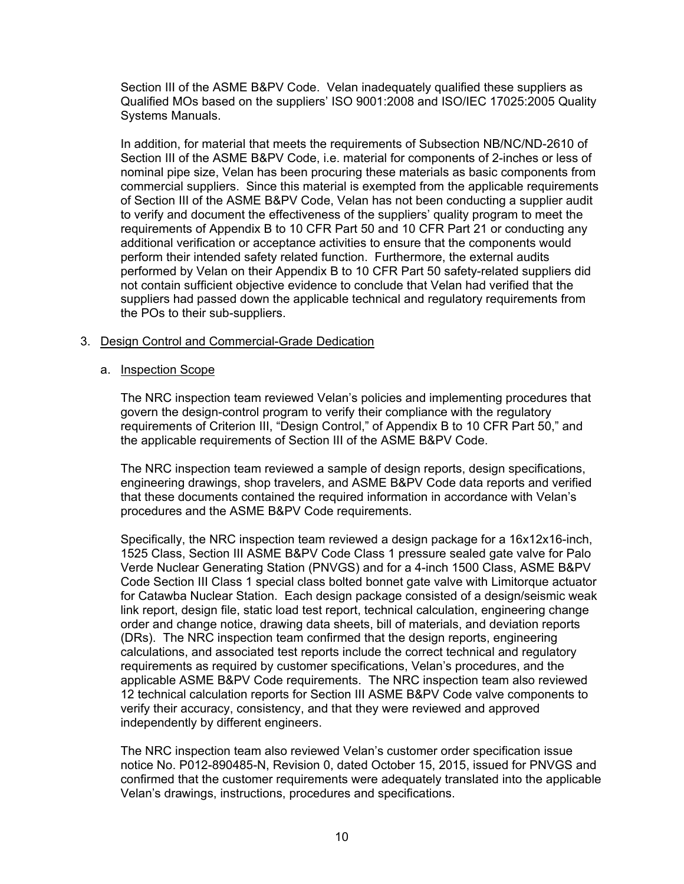Section III of the ASME B&PV Code. Velan inadequately qualified these suppliers as Qualified MOs based on the suppliers' ISO 9001:2008 and ISO/IEC 17025:2005 Quality Systems Manuals.

In addition, for material that meets the requirements of Subsection NB/NC/ND-2610 of Section III of the ASME B&PV Code, i.e. material for components of 2-inches or less of nominal pipe size, Velan has been procuring these materials as basic components from commercial suppliers. Since this material is exempted from the applicable requirements of Section III of the ASME B&PV Code, Velan has not been conducting a supplier audit to verify and document the effectiveness of the suppliers' quality program to meet the requirements of Appendix B to 10 CFR Part 50 and 10 CFR Part 21 or conducting any additional verification or acceptance activities to ensure that the components would perform their intended safety related function. Furthermore, the external audits performed by Velan on their Appendix B to 10 CFR Part 50 safety-related suppliers did not contain sufficient objective evidence to conclude that Velan had verified that the suppliers had passed down the applicable technical and regulatory requirements from the POs to their sub-suppliers.

### 3. Design Control and Commercial-Grade Dedication

#### a. Inspection Scope

The NRC inspection team reviewed Velan's policies and implementing procedures that govern the design-control program to verify their compliance with the regulatory requirements of Criterion III, "Design Control," of Appendix B to 10 CFR Part 50," and the applicable requirements of Section III of the ASME B&PV Code.

The NRC inspection team reviewed a sample of design reports, design specifications, engineering drawings, shop travelers, and ASME B&PV Code data reports and verified that these documents contained the required information in accordance with Velan's procedures and the ASME B&PV Code requirements.

Specifically, the NRC inspection team reviewed a design package for a 16x12x16-inch, 1525 Class, Section III ASME B&PV Code Class 1 pressure sealed gate valve for Palo Verde Nuclear Generating Station (PNVGS) and for a 4-inch 1500 Class, ASME B&PV Code Section III Class 1 special class bolted bonnet gate valve with Limitorque actuator for Catawba Nuclear Station. Each design package consisted of a design/seismic weak link report, design file, static load test report, technical calculation, engineering change order and change notice, drawing data sheets, bill of materials, and deviation reports (DRs). The NRC inspection team confirmed that the design reports, engineering calculations, and associated test reports include the correct technical and regulatory requirements as required by customer specifications, Velan's procedures, and the applicable ASME B&PV Code requirements. The NRC inspection team also reviewed 12 technical calculation reports for Section III ASME B&PV Code valve components to verify their accuracy, consistency, and that they were reviewed and approved independently by different engineers.

The NRC inspection team also reviewed Velan's customer order specification issue notice No. P012-890485-N, Revision 0, dated October 15, 2015, issued for PNVGS and confirmed that the customer requirements were adequately translated into the applicable Velan's drawings, instructions, procedures and specifications.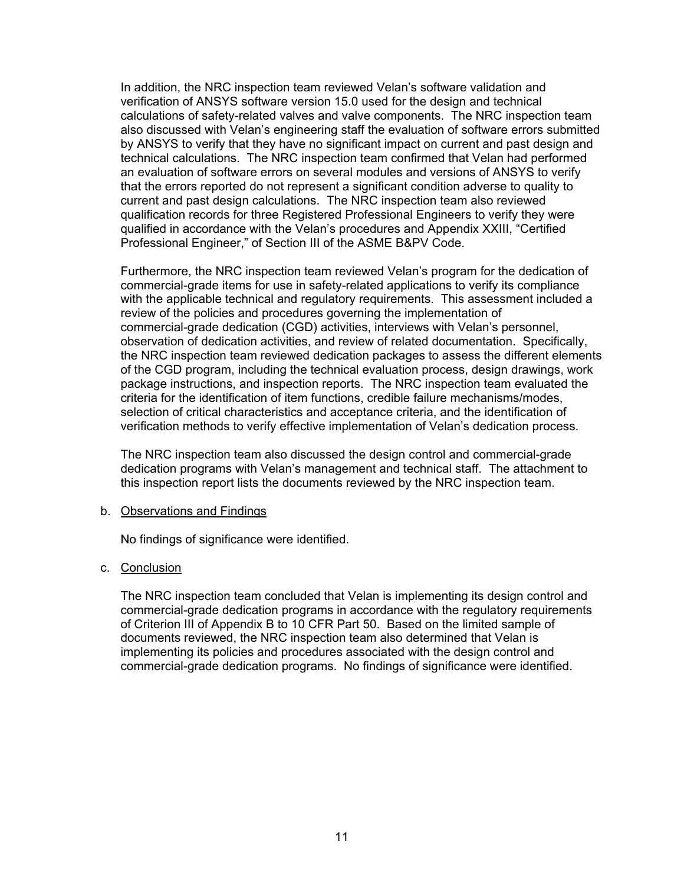In addition, the NRC inspection team reviewed Velan's software validation and verification of ANSYS software version 15.0 used for the design and technical calculations of safety-related valves and valve components. The NRC inspection team also discussed with Velan's engineering staff the evaluation of software errors submitted by ANSYS to verify that they have no significant impact on current and past design and technical calculations. The NRC inspection team confirmed that Velan had performed an evaluation of software errors on several modules and versions of ANSYS to verify that the errors reported do not represent a significant condition adverse to quality to current and past design calculations. The NRC inspection team also reviewed qualification records for three Registered Professional Engineers to verify they were qualified in accordance with the Velan's procedures and Appendix XXIII, "Certified Professional Engineer," of Section III of the ASME B&PV Code.

Furthermore, the NRC inspection team reviewed Velan's program for the dedication of commercial-grade items for use in safety-related applications to verify its compliance with the applicable technical and regulatory requirements. This assessment included a review of the policies and procedures governing the implementation of commercial-grade dedication (CGD) activities, interviews with Velan's personnel, observation of dedication activities, and review of related documentation. Specifically, the NRC inspection team reviewed dedication packages to assess the different elements of the CGD program, including the technical evaluation process, design drawings, work package instructions, and inspection reports. The NRC inspection team evaluated the criteria for the identification of item functions, credible failure mechanisms/modes, selection of critical characteristics and acceptance criteria, and the identification of verification methods to verify effective implementation of Velan's dedication process.

The NRC inspection team also discussed the design control and commercial-grade dedication programs with Velan's management and technical staff. The attachment to this inspection report lists the documents reviewed by the NRC inspection team.

#### b. Observations and Findings

No findings of significance were identified.

#### c. Conclusion

The NRC inspection team concluded that Velan is implementing its design control and commercial-grade dedication programs in accordance with the regulatory requirements of Criterion III of Appendix B to 10 CFR Part 50. Based on the limited sample of documents reviewed, the NRC inspection team also determined that Velan is implementing its policies and procedures associated with the design control and commercial-grade dedication programs. No findings of significance were identified.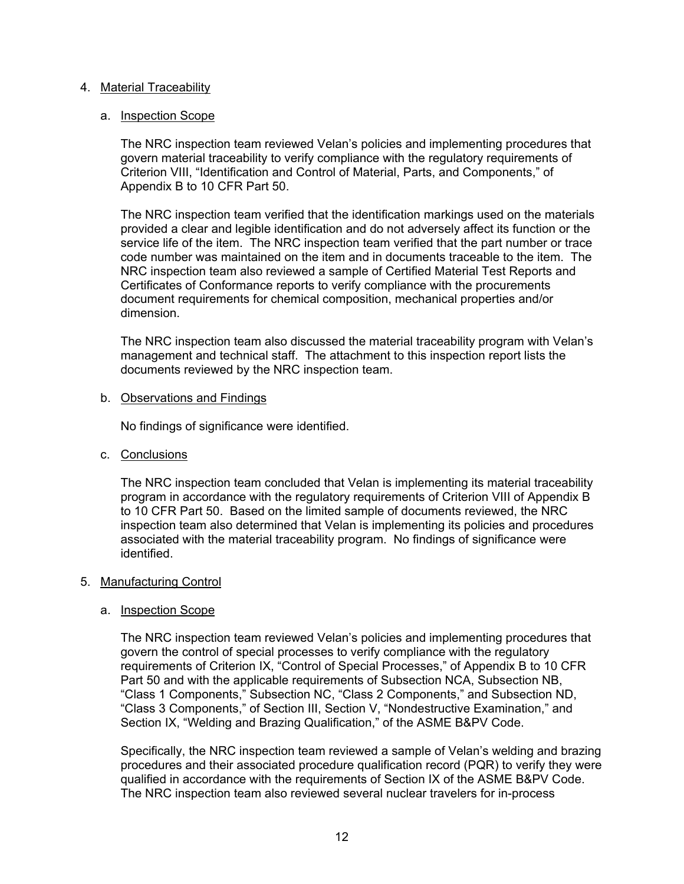### 4. Material Traceability

### a. Inspection Scope

The NRC inspection team reviewed Velan's policies and implementing procedures that govern material traceability to verify compliance with the regulatory requirements of Criterion VIII, "Identification and Control of Material, Parts, and Components," of Appendix B to 10 CFR Part 50.

The NRC inspection team verified that the identification markings used on the materials provided a clear and legible identification and do not adversely affect its function or the service life of the item. The NRC inspection team verified that the part number or trace code number was maintained on the item and in documents traceable to the item. The NRC inspection team also reviewed a sample of Certified Material Test Reports and Certificates of Conformance reports to verify compliance with the procurements document requirements for chemical composition, mechanical properties and/or dimension.

The NRC inspection team also discussed the material traceability program with Velan's management and technical staff. The attachment to this inspection report lists the documents reviewed by the NRC inspection team.

### b. Observations and Findings

No findings of significance were identified.

c. Conclusions

The NRC inspection team concluded that Velan is implementing its material traceability program in accordance with the regulatory requirements of Criterion VIII of Appendix B to 10 CFR Part 50. Based on the limited sample of documents reviewed, the NRC inspection team also determined that Velan is implementing its policies and procedures associated with the material traceability program. No findings of significance were identified.

# 5. Manufacturing Control

#### a. Inspection Scope

The NRC inspection team reviewed Velan's policies and implementing procedures that govern the control of special processes to verify compliance with the regulatory requirements of Criterion IX, "Control of Special Processes," of Appendix B to 10 CFR Part 50 and with the applicable requirements of Subsection NCA, Subsection NB, "Class 1 Components," Subsection NC, "Class 2 Components," and Subsection ND, "Class 3 Components," of Section III, Section V, "Nondestructive Examination," and Section IX, "Welding and Brazing Qualification," of the ASME B&PV Code.

Specifically, the NRC inspection team reviewed a sample of Velan's welding and brazing procedures and their associated procedure qualification record (PQR) to verify they were qualified in accordance with the requirements of Section IX of the ASME B&PV Code. The NRC inspection team also reviewed several nuclear travelers for in-process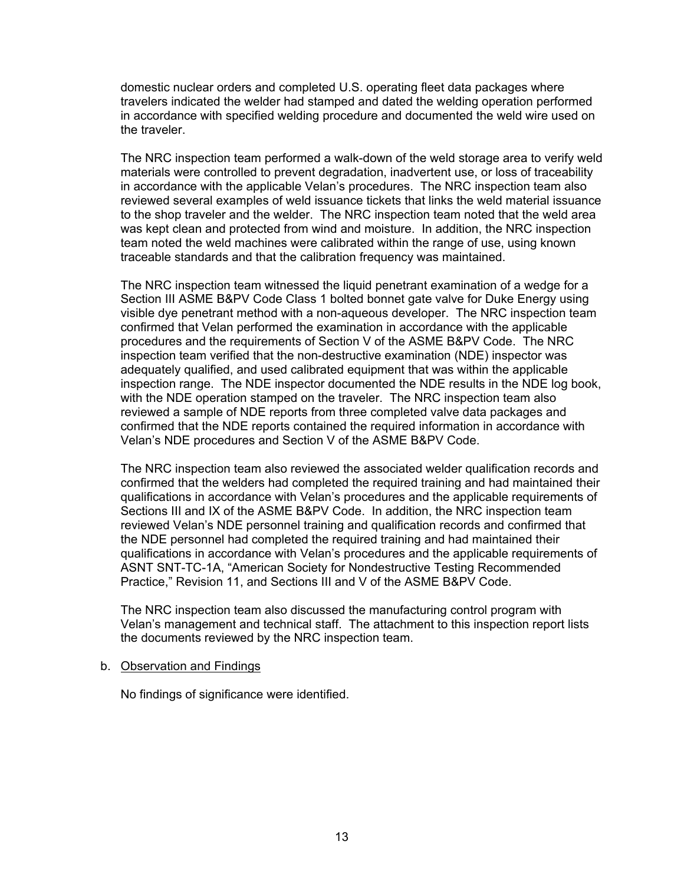domestic nuclear orders and completed U.S. operating fleet data packages where travelers indicated the welder had stamped and dated the welding operation performed in accordance with specified welding procedure and documented the weld wire used on the traveler.

The NRC inspection team performed a walk-down of the weld storage area to verify weld materials were controlled to prevent degradation, inadvertent use, or loss of traceability in accordance with the applicable Velan's procedures. The NRC inspection team also reviewed several examples of weld issuance tickets that links the weld material issuance to the shop traveler and the welder. The NRC inspection team noted that the weld area was kept clean and protected from wind and moisture. In addition, the NRC inspection team noted the weld machines were calibrated within the range of use, using known traceable standards and that the calibration frequency was maintained.

The NRC inspection team witnessed the liquid penetrant examination of a wedge for a Section III ASME B&PV Code Class 1 bolted bonnet gate valve for Duke Energy using visible dye penetrant method with a non-aqueous developer. The NRC inspection team confirmed that Velan performed the examination in accordance with the applicable procedures and the requirements of Section V of the ASME B&PV Code. The NRC inspection team verified that the non-destructive examination (NDE) inspector was adequately qualified, and used calibrated equipment that was within the applicable inspection range. The NDE inspector documented the NDE results in the NDE log book, with the NDE operation stamped on the traveler. The NRC inspection team also reviewed a sample of NDE reports from three completed valve data packages and confirmed that the NDE reports contained the required information in accordance with Velan's NDE procedures and Section V of the ASME B&PV Code.

The NRC inspection team also reviewed the associated welder qualification records and confirmed that the welders had completed the required training and had maintained their qualifications in accordance with Velan's procedures and the applicable requirements of Sections III and IX of the ASME B&PV Code. In addition, the NRC inspection team reviewed Velan's NDE personnel training and qualification records and confirmed that the NDE personnel had completed the required training and had maintained their qualifications in accordance with Velan's procedures and the applicable requirements of ASNT SNT-TC-1A, "American Society for Nondestructive Testing Recommended Practice," Revision 11, and Sections III and V of the ASME B&PV Code.

The NRC inspection team also discussed the manufacturing control program with Velan's management and technical staff. The attachment to this inspection report lists the documents reviewed by the NRC inspection team.

### b. Observation and Findings

No findings of significance were identified.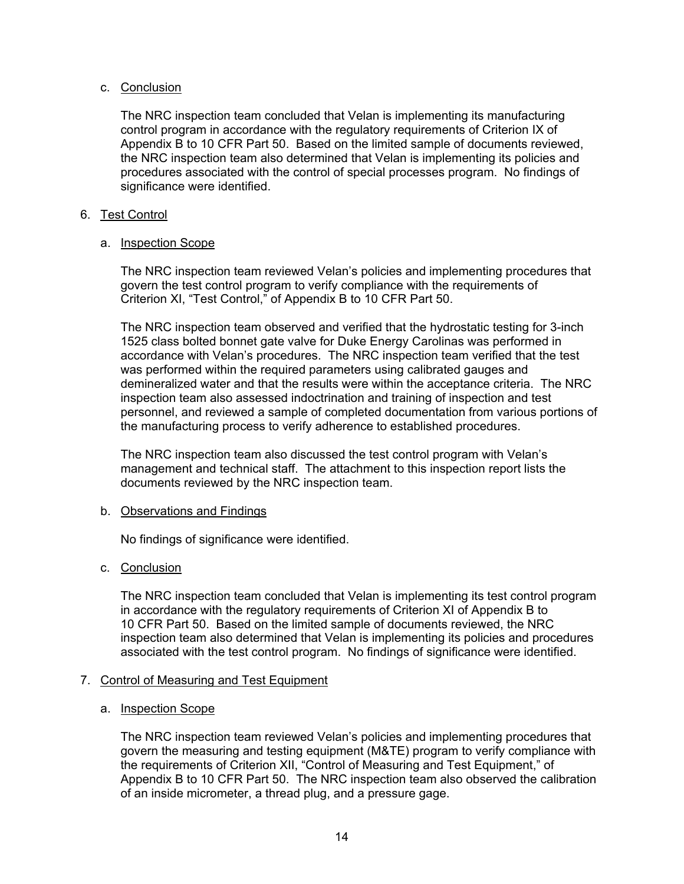# c. Conclusion

The NRC inspection team concluded that Velan is implementing its manufacturing control program in accordance with the regulatory requirements of Criterion IX of Appendix B to 10 CFR Part 50. Based on the limited sample of documents reviewed, the NRC inspection team also determined that Velan is implementing its policies and procedures associated with the control of special processes program. No findings of significance were identified.

# 6. Test Control

# a. Inspection Scope

The NRC inspection team reviewed Velan's policies and implementing procedures that govern the test control program to verify compliance with the requirements of Criterion XI, "Test Control," of Appendix B to 10 CFR Part 50.

The NRC inspection team observed and verified that the hydrostatic testing for 3-inch 1525 class bolted bonnet gate valve for Duke Energy Carolinas was performed in accordance with Velan's procedures. The NRC inspection team verified that the test was performed within the required parameters using calibrated gauges and demineralized water and that the results were within the acceptance criteria. The NRC inspection team also assessed indoctrination and training of inspection and test personnel, and reviewed a sample of completed documentation from various portions of the manufacturing process to verify adherence to established procedures.

The NRC inspection team also discussed the test control program with Velan's management and technical staff. The attachment to this inspection report lists the documents reviewed by the NRC inspection team.

# b. Observations and Findings

No findings of significance were identified.

# c. Conclusion

The NRC inspection team concluded that Velan is implementing its test control program in accordance with the regulatory requirements of Criterion XI of Appendix B to 10 CFR Part 50. Based on the limited sample of documents reviewed, the NRC inspection team also determined that Velan is implementing its policies and procedures associated with the test control program. No findings of significance were identified.

# 7. Control of Measuring and Test Equipment

# a. Inspection Scope

The NRC inspection team reviewed Velan's policies and implementing procedures that govern the measuring and testing equipment (M&TE) program to verify compliance with the requirements of Criterion XII, "Control of Measuring and Test Equipment," of Appendix B to 10 CFR Part 50. The NRC inspection team also observed the calibration of an inside micrometer, a thread plug, and a pressure gage.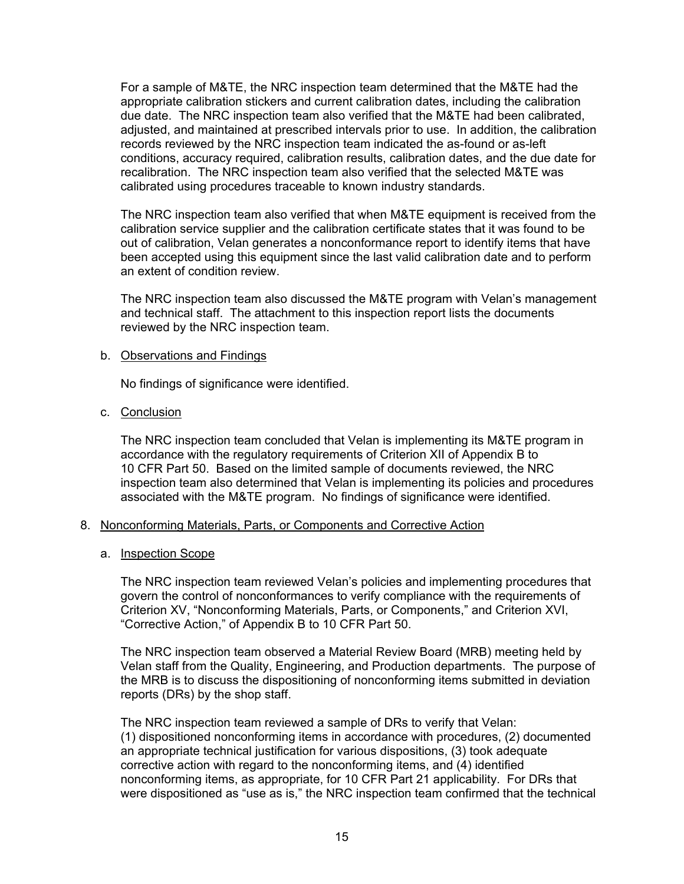For a sample of M&TE, the NRC inspection team determined that the M&TE had the appropriate calibration stickers and current calibration dates, including the calibration due date. The NRC inspection team also verified that the M&TE had been calibrated, adjusted, and maintained at prescribed intervals prior to use. In addition, the calibration records reviewed by the NRC inspection team indicated the as-found or as-left conditions, accuracy required, calibration results, calibration dates, and the due date for recalibration. The NRC inspection team also verified that the selected M&TE was calibrated using procedures traceable to known industry standards.

The NRC inspection team also verified that when M&TE equipment is received from the calibration service supplier and the calibration certificate states that it was found to be out of calibration, Velan generates a nonconformance report to identify items that have been accepted using this equipment since the last valid calibration date and to perform an extent of condition review.

The NRC inspection team also discussed the M&TE program with Velan's management and technical staff. The attachment to this inspection report lists the documents reviewed by the NRC inspection team.

### b. Observations and Findings

No findings of significance were identified.

c. Conclusion

The NRC inspection team concluded that Velan is implementing its M&TE program in accordance with the regulatory requirements of Criterion XII of Appendix B to 10 CFR Part 50. Based on the limited sample of documents reviewed, the NRC inspection team also determined that Velan is implementing its policies and procedures associated with the M&TE program. No findings of significance were identified.

# 8. Nonconforming Materials, Parts, or Components and Corrective Action

#### a. Inspection Scope

The NRC inspection team reviewed Velan's policies and implementing procedures that govern the control of nonconformances to verify compliance with the requirements of Criterion XV, "Nonconforming Materials, Parts, or Components," and Criterion XVI, "Corrective Action," of Appendix B to 10 CFR Part 50.

The NRC inspection team observed a Material Review Board (MRB) meeting held by Velan staff from the Quality, Engineering, and Production departments. The purpose of the MRB is to discuss the dispositioning of nonconforming items submitted in deviation reports (DRs) by the shop staff.

The NRC inspection team reviewed a sample of DRs to verify that Velan: (1) dispositioned nonconforming items in accordance with procedures, (2) documented an appropriate technical justification for various dispositions, (3) took adequate corrective action with regard to the nonconforming items, and (4) identified nonconforming items, as appropriate, for 10 CFR Part 21 applicability. For DRs that were dispositioned as "use as is," the NRC inspection team confirmed that the technical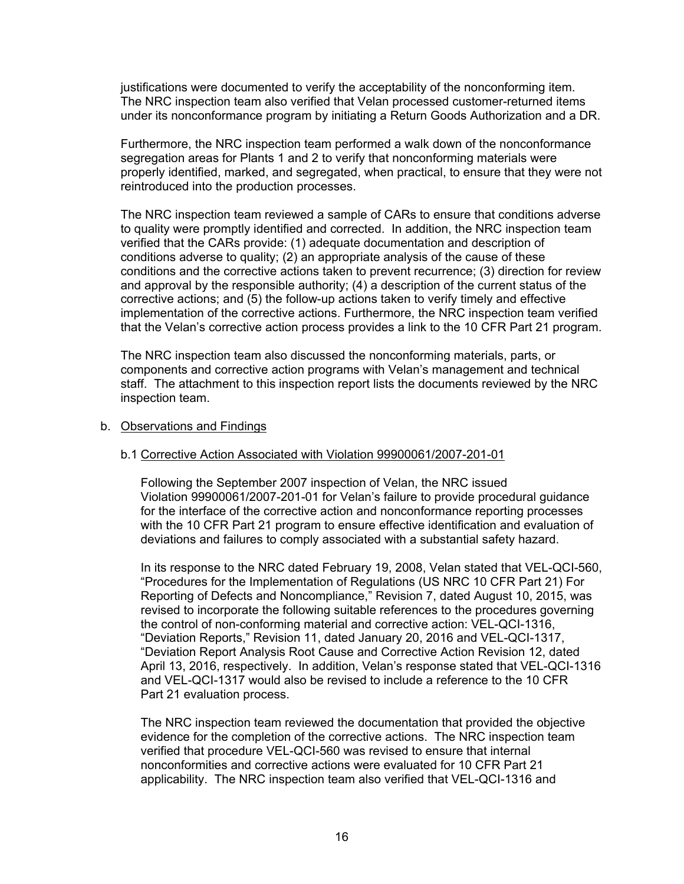justifications were documented to verify the acceptability of the nonconforming item. The NRC inspection team also verified that Velan processed customer-returned items under its nonconformance program by initiating a Return Goods Authorization and a DR.

Furthermore, the NRC inspection team performed a walk down of the nonconformance segregation areas for Plants 1 and 2 to verify that nonconforming materials were properly identified, marked, and segregated, when practical, to ensure that they were not reintroduced into the production processes.

The NRC inspection team reviewed a sample of CARs to ensure that conditions adverse to quality were promptly identified and corrected. In addition, the NRC inspection team verified that the CARs provide: (1) adequate documentation and description of conditions adverse to quality; (2) an appropriate analysis of the cause of these conditions and the corrective actions taken to prevent recurrence; (3) direction for review and approval by the responsible authority; (4) a description of the current status of the corrective actions; and (5) the follow-up actions taken to verify timely and effective implementation of the corrective actions. Furthermore, the NRC inspection team verified that the Velan's corrective action process provides a link to the 10 CFR Part 21 program.

The NRC inspection team also discussed the nonconforming materials, parts, or components and corrective action programs with Velan's management and technical staff. The attachment to this inspection report lists the documents reviewed by the NRC inspection team.

#### b. Observations and Findings

#### b.1 Corrective Action Associated with Violation 99900061/2007-201-01

Following the September 2007 inspection of Velan, the NRC issued Violation 99900061/2007-201-01 for Velan's failure to provide procedural guidance for the interface of the corrective action and nonconformance reporting processes with the 10 CFR Part 21 program to ensure effective identification and evaluation of deviations and failures to comply associated with a substantial safety hazard.

In its response to the NRC dated February 19, 2008, Velan stated that VEL-QCI-560, "Procedures for the Implementation of Regulations (US NRC 10 CFR Part 21) For Reporting of Defects and Noncompliance," Revision 7, dated August 10, 2015, was revised to incorporate the following suitable references to the procedures governing the control of non-conforming material and corrective action: VEL-QCI-1316, "Deviation Reports," Revision 11, dated January 20, 2016 and VEL-QCI-1317, "Deviation Report Analysis Root Cause and Corrective Action Revision 12, dated April 13, 2016, respectively. In addition, Velan's response stated that VEL-QCI-1316 and VEL-QCI-1317 would also be revised to include a reference to the 10 CFR Part 21 evaluation process.

The NRC inspection team reviewed the documentation that provided the objective evidence for the completion of the corrective actions. The NRC inspection team verified that procedure VEL-QCI-560 was revised to ensure that internal nonconformities and corrective actions were evaluated for 10 CFR Part 21 applicability. The NRC inspection team also verified that VEL-QCI-1316 and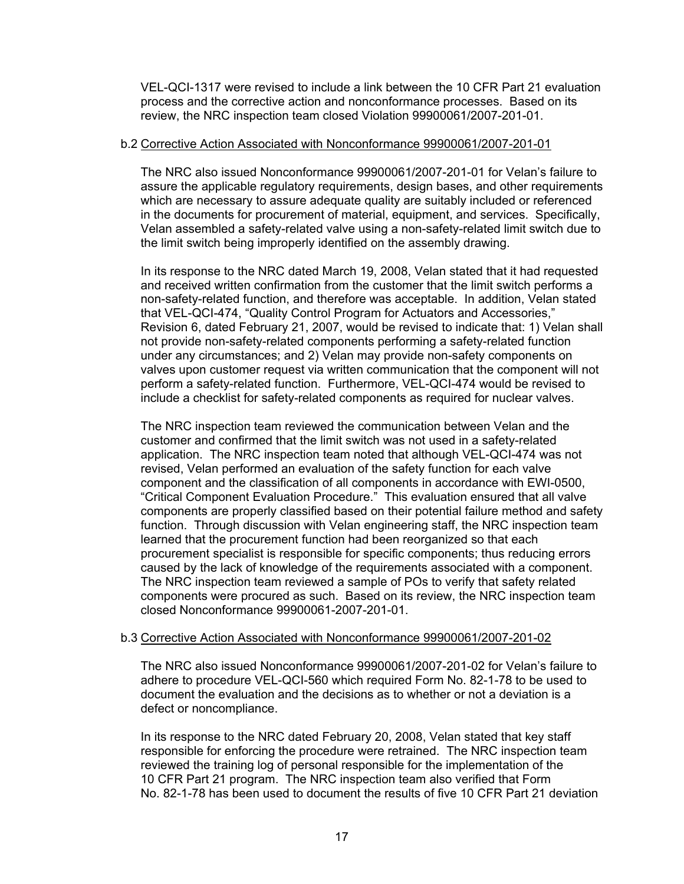VEL-QCI-1317 were revised to include a link between the 10 CFR Part 21 evaluation process and the corrective action and nonconformance processes. Based on its review, the NRC inspection team closed Violation 99900061/2007-201-01.

### b.2 Corrective Action Associated with Nonconformance 99900061/2007-201-01

The NRC also issued Nonconformance 99900061/2007-201-01 for Velan's failure to assure the applicable regulatory requirements, design bases, and other requirements which are necessary to assure adequate quality are suitably included or referenced in the documents for procurement of material, equipment, and services. Specifically, Velan assembled a safety-related valve using a non-safety-related limit switch due to the limit switch being improperly identified on the assembly drawing.

In its response to the NRC dated March 19, 2008, Velan stated that it had requested and received written confirmation from the customer that the limit switch performs a non-safety-related function, and therefore was acceptable. In addition, Velan stated that VEL-QCI-474, "Quality Control Program for Actuators and Accessories," Revision 6, dated February 21, 2007, would be revised to indicate that: 1) Velan shall not provide non-safety-related components performing a safety-related function under any circumstances; and 2) Velan may provide non-safety components on valves upon customer request via written communication that the component will not perform a safety-related function. Furthermore, VEL-QCI-474 would be revised to include a checklist for safety-related components as required for nuclear valves.

The NRC inspection team reviewed the communication between Velan and the customer and confirmed that the limit switch was not used in a safety-related application. The NRC inspection team noted that although VEL-QCI-474 was not revised, Velan performed an evaluation of the safety function for each valve component and the classification of all components in accordance with EWI-0500, "Critical Component Evaluation Procedure." This evaluation ensured that all valve components are properly classified based on their potential failure method and safety function. Through discussion with Velan engineering staff, the NRC inspection team learned that the procurement function had been reorganized so that each procurement specialist is responsible for specific components; thus reducing errors caused by the lack of knowledge of the requirements associated with a component. The NRC inspection team reviewed a sample of POs to verify that safety related components were procured as such. Based on its review, the NRC inspection team closed Nonconformance 99900061-2007-201-01.

#### b.3 Corrective Action Associated with Nonconformance 99900061/2007-201-02

The NRC also issued Nonconformance 99900061/2007-201-02 for Velan's failure to adhere to procedure VEL-QCI-560 which required Form No. 82-1-78 to be used to document the evaluation and the decisions as to whether or not a deviation is a defect or noncompliance.

In its response to the NRC dated February 20, 2008, Velan stated that key staff responsible for enforcing the procedure were retrained. The NRC inspection team reviewed the training log of personal responsible for the implementation of the 10 CFR Part 21 program. The NRC inspection team also verified that Form No. 82-1-78 has been used to document the results of five 10 CFR Part 21 deviation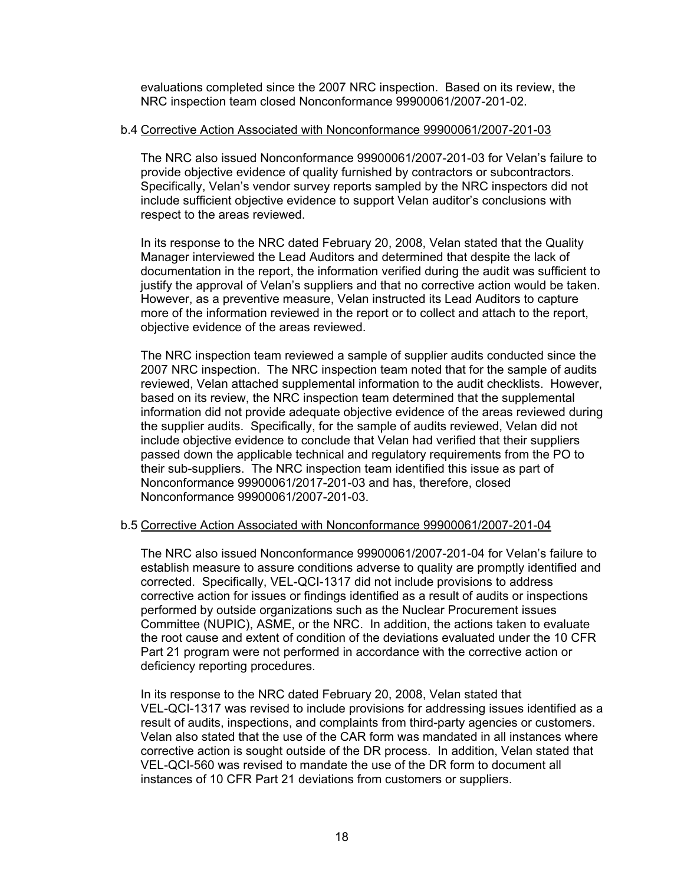evaluations completed since the 2007 NRC inspection. Based on its review, the NRC inspection team closed Nonconformance 99900061/2007-201-02.

#### b.4 Corrective Action Associated with Nonconformance 99900061/2007-201-03

The NRC also issued Nonconformance 99900061/2007-201-03 for Velan's failure to provide objective evidence of quality furnished by contractors or subcontractors. Specifically, Velan's vendor survey reports sampled by the NRC inspectors did not include sufficient objective evidence to support Velan auditor's conclusions with respect to the areas reviewed.

In its response to the NRC dated February 20, 2008, Velan stated that the Quality Manager interviewed the Lead Auditors and determined that despite the lack of documentation in the report, the information verified during the audit was sufficient to justify the approval of Velan's suppliers and that no corrective action would be taken. However, as a preventive measure, Velan instructed its Lead Auditors to capture more of the information reviewed in the report or to collect and attach to the report, objective evidence of the areas reviewed.

The NRC inspection team reviewed a sample of supplier audits conducted since the 2007 NRC inspection. The NRC inspection team noted that for the sample of audits reviewed, Velan attached supplemental information to the audit checklists. However, based on its review, the NRC inspection team determined that the supplemental information did not provide adequate objective evidence of the areas reviewed during the supplier audits. Specifically, for the sample of audits reviewed, Velan did not include objective evidence to conclude that Velan had verified that their suppliers passed down the applicable technical and regulatory requirements from the PO to their sub-suppliers. The NRC inspection team identified this issue as part of Nonconformance 99900061/2017-201-03 and has, therefore, closed Nonconformance 99900061/2007-201-03.

# b.5 Corrective Action Associated with Nonconformance 99900061/2007-201-04

The NRC also issued Nonconformance 99900061/2007-201-04 for Velan's failure to establish measure to assure conditions adverse to quality are promptly identified and corrected. Specifically, VEL-QCI-1317 did not include provisions to address corrective action for issues or findings identified as a result of audits or inspections performed by outside organizations such as the Nuclear Procurement issues Committee (NUPIC), ASME, or the NRC. In addition, the actions taken to evaluate the root cause and extent of condition of the deviations evaluated under the 10 CFR Part 21 program were not performed in accordance with the corrective action or deficiency reporting procedures.

In its response to the NRC dated February 20, 2008, Velan stated that VEL-QCI-1317 was revised to include provisions for addressing issues identified as a result of audits, inspections, and complaints from third-party agencies or customers. Velan also stated that the use of the CAR form was mandated in all instances where corrective action is sought outside of the DR process. In addition, Velan stated that VEL-QCI-560 was revised to mandate the use of the DR form to document all instances of 10 CFR Part 21 deviations from customers or suppliers.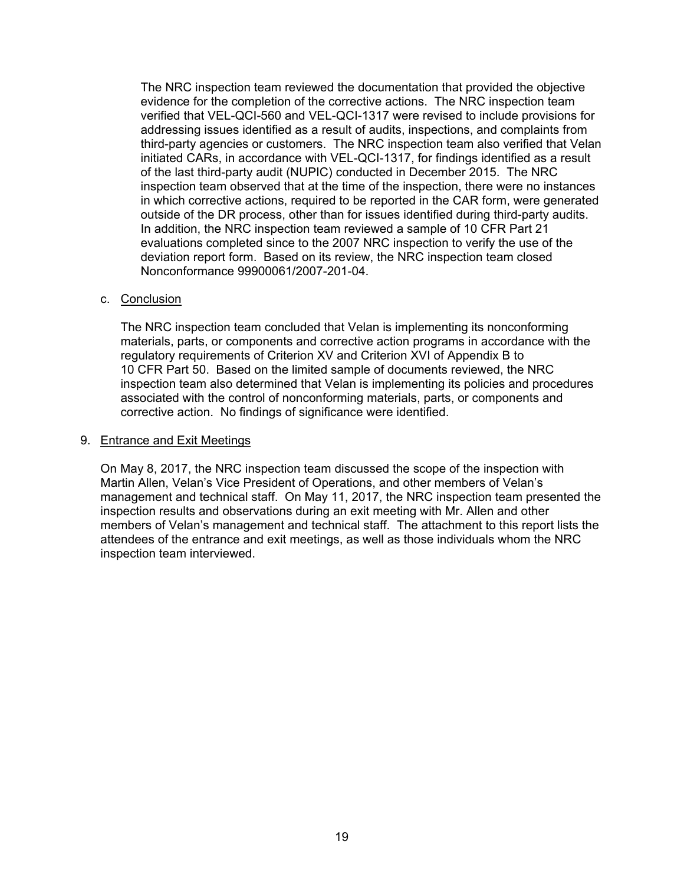The NRC inspection team reviewed the documentation that provided the objective evidence for the completion of the corrective actions. The NRC inspection team verified that VEL-QCI-560 and VEL-QCI-1317 were revised to include provisions for addressing issues identified as a result of audits, inspections, and complaints from third-party agencies or customers. The NRC inspection team also verified that Velan initiated CARs, in accordance with VEL-QCI-1317, for findings identified as a result of the last third-party audit (NUPIC) conducted in December 2015. The NRC inspection team observed that at the time of the inspection, there were no instances in which corrective actions, required to be reported in the CAR form, were generated outside of the DR process, other than for issues identified during third-party audits. In addition, the NRC inspection team reviewed a sample of 10 CFR Part 21 evaluations completed since to the 2007 NRC inspection to verify the use of the deviation report form. Based on its review, the NRC inspection team closed Nonconformance 99900061/2007-201-04.

### c. Conclusion

The NRC inspection team concluded that Velan is implementing its nonconforming materials, parts, or components and corrective action programs in accordance with the regulatory requirements of Criterion XV and Criterion XVI of Appendix B to 10 CFR Part 50. Based on the limited sample of documents reviewed, the NRC inspection team also determined that Velan is implementing its policies and procedures associated with the control of nonconforming materials, parts, or components and corrective action. No findings of significance were identified.

#### 9. Entrance and Exit Meetings

On May 8, 2017, the NRC inspection team discussed the scope of the inspection with Martin Allen, Velan's Vice President of Operations, and other members of Velan's management and technical staff. On May 11, 2017, the NRC inspection team presented the inspection results and observations during an exit meeting with Mr. Allen and other members of Velan's management and technical staff. The attachment to this report lists the attendees of the entrance and exit meetings, as well as those individuals whom the NRC inspection team interviewed.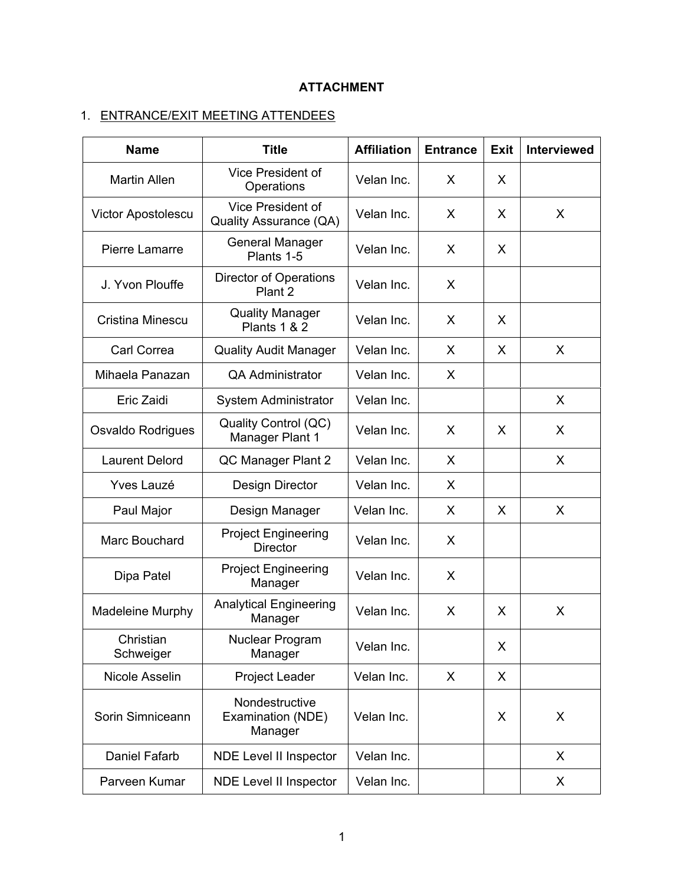# **ATTACHMENT**

# 1. ENTRANCE/EXIT MEETING ATTENDEES

| <b>Name</b>            | <b>Title</b>                                   | <b>Affiliation</b> | <b>Entrance</b> | <b>Exit</b> | <b>Interviewed</b> |
|------------------------|------------------------------------------------|--------------------|-----------------|-------------|--------------------|
| <b>Martin Allen</b>    | Vice President of<br>Operations                | Velan Inc.         | X               | X           |                    |
| Victor Apostolescu     | Vice President of<br>Quality Assurance (QA)    | Velan Inc.         | X               | X           | X                  |
| Pierre Lamarre         | <b>General Manager</b><br>Plants 1-5           | Velan Inc.         | X.              | X           |                    |
| J. Yvon Plouffe        | <b>Director of Operations</b><br>Plant 2       | Velan Inc.         | X               |             |                    |
| Cristina Minescu       | <b>Quality Manager</b><br>Plants 1 & 2         | Velan Inc.         | X               | X           |                    |
| Carl Correa            | <b>Quality Audit Manager</b>                   | Velan Inc.         | X               | X           | X                  |
| Mihaela Panazan        | <b>QA Administrator</b>                        | Velan Inc.         | X               |             |                    |
| Eric Zaidi             | System Administrator                           | Velan Inc.         |                 |             | X                  |
| Osvaldo Rodrigues      | Quality Control (QC)<br>Manager Plant 1        | Velan Inc.         | X               | X           | X                  |
| <b>Laurent Delord</b>  | QC Manager Plant 2                             | Velan Inc.         | X               |             | X                  |
| <b>Yves Lauzé</b>      | Design Director                                | Velan Inc.         | X               |             |                    |
| Paul Major             | Design Manager                                 | Velan Inc.         | X               | X           | X                  |
| Marc Bouchard          | <b>Project Engineering</b><br><b>Director</b>  | Velan Inc.         | X               |             |                    |
| Dipa Patel             | <b>Project Engineering</b><br>Manager          | Velan Inc.         | X               |             |                    |
| Madeleine Murphy       | <b>Analytical Engineering</b><br>Manager       | Velan Inc.         | X               | X           | X                  |
| Christian<br>Schweiger | Nuclear Program<br>Manager                     | Velan Inc.         |                 | X           |                    |
| Nicole Asselin         | <b>Project Leader</b>                          | Velan Inc.         | X               | X           |                    |
| Sorin Simniceann       | Nondestructive<br>Examination (NDE)<br>Manager | Velan Inc.         |                 | X           | X                  |
| Daniel Fafarb          | <b>NDE Level II Inspector</b>                  | Velan Inc.         |                 |             | X                  |
| Parveen Kumar          | <b>NDE Level II Inspector</b>                  | Velan Inc.         |                 |             | X                  |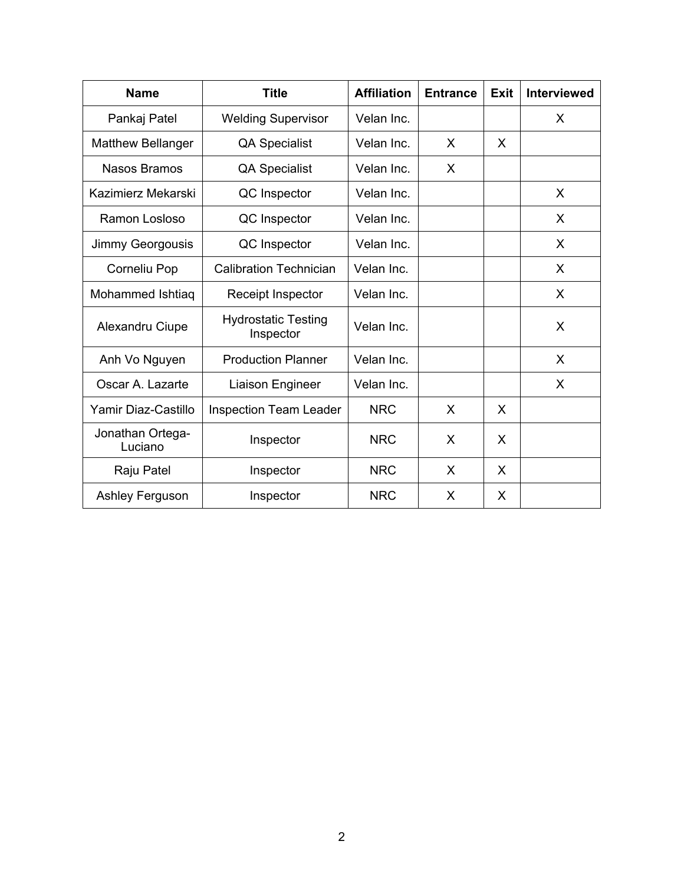| <b>Name</b>                 | <b>Title</b>                            | <b>Affiliation</b> | <b>Entrance</b> | Exit | <b>Interviewed</b> |
|-----------------------------|-----------------------------------------|--------------------|-----------------|------|--------------------|
| Pankaj Patel                | <b>Welding Supervisor</b>               | Velan Inc.         |                 |      | X                  |
| <b>Matthew Bellanger</b>    | <b>QA Specialist</b>                    | Velan Inc.         | X               | X    |                    |
| <b>Nasos Bramos</b>         | <b>QA Specialist</b>                    | Velan Inc.         | X               |      |                    |
| Kazimierz Mekarski          | QC Inspector                            | Velan Inc.         |                 |      | X                  |
| Ramon Losloso               | QC Inspector                            | Velan Inc.         |                 |      | X                  |
| Jimmy Georgousis            | QC Inspector                            | Velan Inc.         |                 |      | X                  |
| Corneliu Pop                | <b>Calibration Technician</b>           | Velan Inc.         |                 |      | X                  |
| Mohammed Ishtiaq            | Receipt Inspector                       | Velan Inc.         |                 |      | X                  |
| Alexandru Ciupe             | <b>Hydrostatic Testing</b><br>Inspector | Velan Inc.         |                 |      | X                  |
| Anh Vo Nguyen               | <b>Production Planner</b>               | Velan Inc.         |                 |      | X                  |
| Oscar A. Lazarte            | Liaison Engineer                        | Velan Inc.         |                 |      | X                  |
| Yamir Diaz-Castillo         | <b>Inspection Team Leader</b>           | <b>NRC</b>         | X               | X    |                    |
| Jonathan Ortega-<br>Luciano | Inspector                               | <b>NRC</b>         | X               | X    |                    |
| Raju Patel                  | Inspector                               | <b>NRC</b>         | X               | X    |                    |
| <b>Ashley Ferguson</b>      | Inspector                               | <b>NRC</b>         | X               | X    |                    |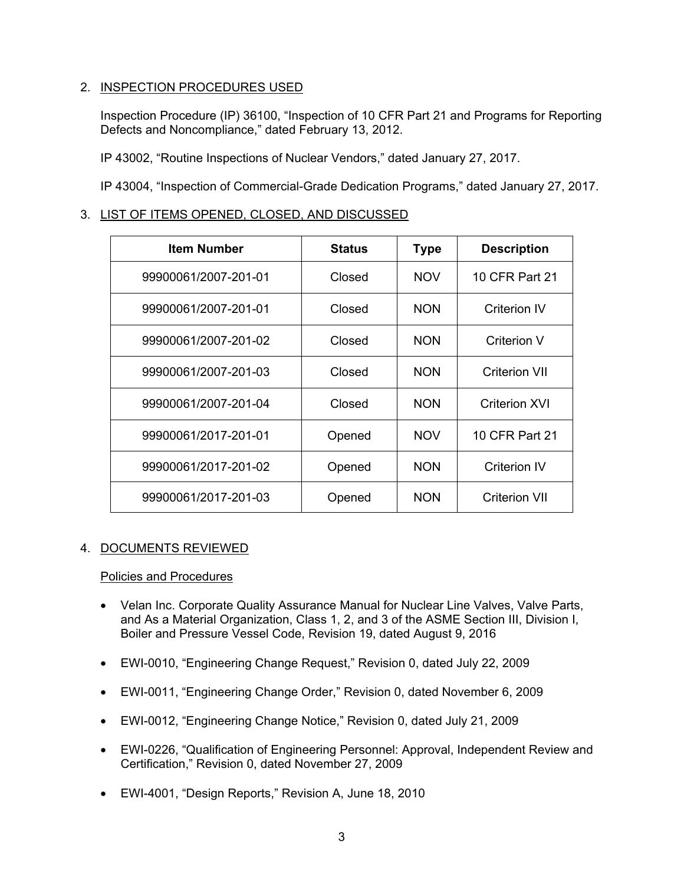# 2. INSPECTION PROCEDURES USED

Inspection Procedure (IP) 36100, "Inspection of 10 CFR Part 21 and Programs for Reporting Defects and Noncompliance," dated February 13, 2012.

IP 43002, "Routine Inspections of Nuclear Vendors," dated January 27, 2017.

IP 43004, "Inspection of Commercial-Grade Dedication Programs," dated January 27, 2017.

# 3. LIST OF ITEMS OPENED, CLOSED, AND DISCUSSED

| <b>Item Number</b>   | <b>Status</b> | <b>Type</b> | <b>Description</b>   |
|----------------------|---------------|-------------|----------------------|
| 99900061/2007-201-01 | Closed        | <b>NOV</b>  | 10 CFR Part 21       |
| 99900061/2007-201-01 | Closed        | <b>NON</b>  | Criterion IV         |
| 99900061/2007-201-02 | Closed        | <b>NON</b>  | Criterion V          |
| 99900061/2007-201-03 | Closed        | <b>NON</b>  | Criterion VII        |
| 99900061/2007-201-04 | Closed        | <b>NON</b>  | Criterion XVI        |
| 99900061/2017-201-01 | Opened        | <b>NOV</b>  | 10 CFR Part 21       |
| 99900061/2017-201-02 | Opened        | <b>NON</b>  | Criterion IV         |
| 99900061/2017-201-03 | Opened        | <b>NON</b>  | <b>Criterion VII</b> |

# 4. DOCUMENTS REVIEWED

# Policies and Procedures

- Velan Inc. Corporate Quality Assurance Manual for Nuclear Line Valves, Valve Parts, and As a Material Organization, Class 1, 2, and 3 of the ASME Section III, Division I, Boiler and Pressure Vessel Code, Revision 19, dated August 9, 2016
- EWI-0010, "Engineering Change Request," Revision 0, dated July 22, 2009
- EWI-0011, "Engineering Change Order," Revision 0, dated November 6, 2009
- EWI-0012, "Engineering Change Notice," Revision 0, dated July 21, 2009
- EWI-0226, "Qualification of Engineering Personnel: Approval, Independent Review and Certification," Revision 0, dated November 27, 2009
- EWI-4001, "Design Reports," Revision A, June 18, 2010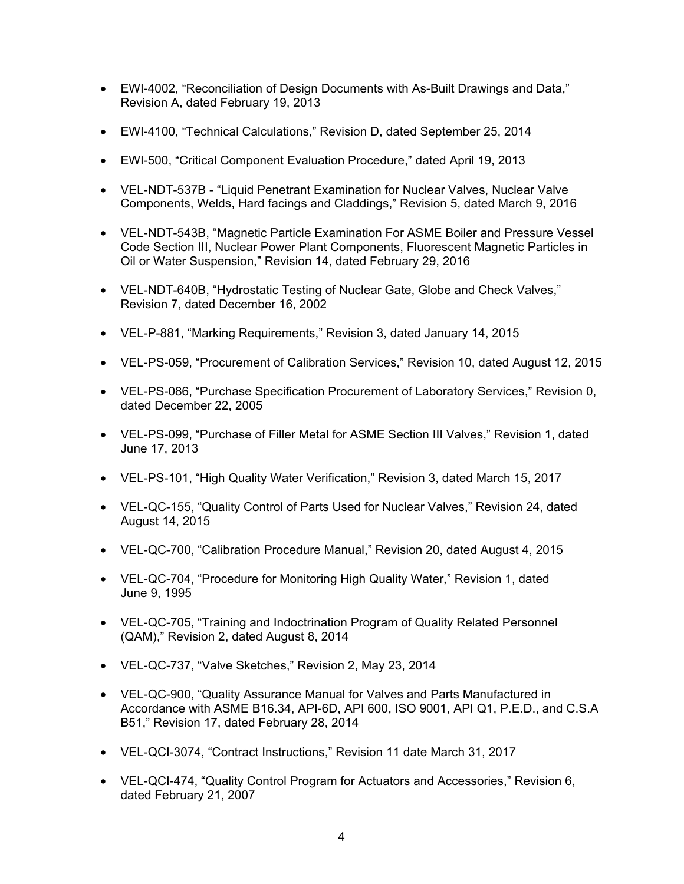- EWI-4002, "Reconciliation of Design Documents with As-Built Drawings and Data," Revision A, dated February 19, 2013
- EWI-4100, "Technical Calculations," Revision D, dated September 25, 2014
- EWI-500, "Critical Component Evaluation Procedure," dated April 19, 2013
- VEL-NDT-537B "Liquid Penetrant Examination for Nuclear Valves, Nuclear Valve Components, Welds, Hard facings and Claddings," Revision 5, dated March 9, 2016
- VEL-NDT-543B, "Magnetic Particle Examination For ASME Boiler and Pressure Vessel Code Section III, Nuclear Power Plant Components, Fluorescent Magnetic Particles in Oil or Water Suspension," Revision 14, dated February 29, 2016
- VEL-NDT-640B, "Hydrostatic Testing of Nuclear Gate, Globe and Check Valves," Revision 7, dated December 16, 2002
- VEL-P-881, "Marking Requirements," Revision 3, dated January 14, 2015
- VEL-PS-059, "Procurement of Calibration Services," Revision 10, dated August 12, 2015
- VEL-PS-086, "Purchase Specification Procurement of Laboratory Services," Revision 0, dated December 22, 2005
- VEL-PS-099, "Purchase of Filler Metal for ASME Section III Valves," Revision 1, dated June 17, 2013
- VEL-PS-101, "High Quality Water Verification," Revision 3, dated March 15, 2017
- VEL-QC-155, "Quality Control of Parts Used for Nuclear Valves," Revision 24, dated August 14, 2015
- VEL-QC-700, "Calibration Procedure Manual," Revision 20, dated August 4, 2015
- VEL-QC-704, "Procedure for Monitoring High Quality Water," Revision 1, dated June 9, 1995
- VEL-QC-705, "Training and Indoctrination Program of Quality Related Personnel (QAM)," Revision 2, dated August 8, 2014
- VEL-QC-737, "Valve Sketches," Revision 2, May 23, 2014
- VEL-QC-900, "Quality Assurance Manual for Valves and Parts Manufactured in Accordance with ASME B16.34, API-6D, API 600, ISO 9001, API Q1, P.E.D., and C.S.A B51," Revision 17, dated February 28, 2014
- VEL-QCI-3074, "Contract Instructions," Revision 11 date March 31, 2017
- VEL-QCI-474, "Quality Control Program for Actuators and Accessories," Revision 6, dated February 21, 2007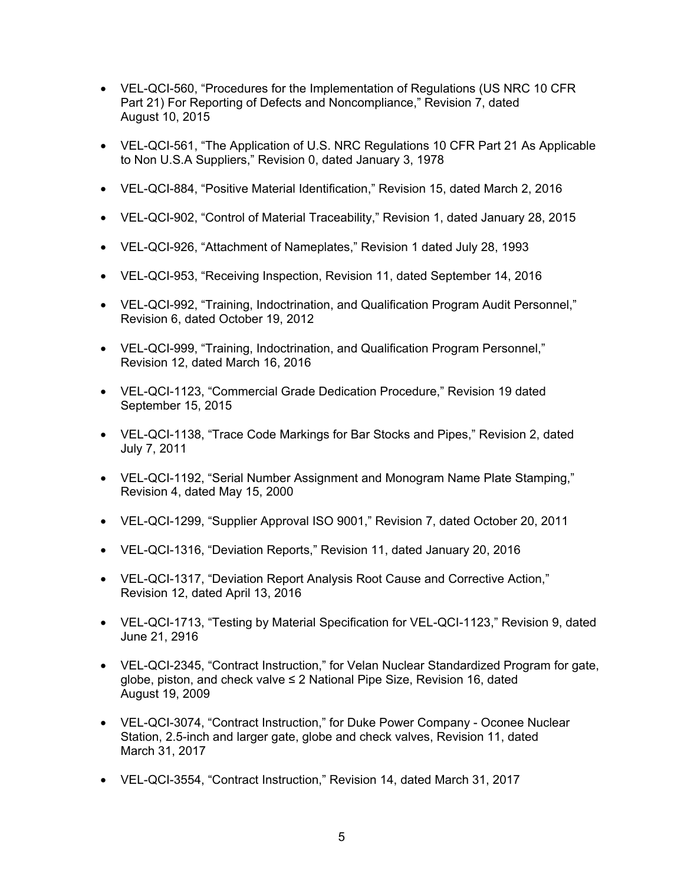- VEL-QCI-560, "Procedures for the Implementation of Regulations (US NRC 10 CFR Part 21) For Reporting of Defects and Noncompliance," Revision 7, dated August 10, 2015
- VEL-QCI-561, "The Application of U.S. NRC Regulations 10 CFR Part 21 As Applicable to Non U.S.A Suppliers," Revision 0, dated January 3, 1978
- VEL-QCI-884, "Positive Material Identification," Revision 15, dated March 2, 2016
- VEL-QCI-902, "Control of Material Traceability," Revision 1, dated January 28, 2015
- VEL-QCI-926, "Attachment of Nameplates," Revision 1 dated July 28, 1993
- VEL-QCI-953, "Receiving Inspection, Revision 11, dated September 14, 2016
- VEL-QCI-992, "Training, Indoctrination, and Qualification Program Audit Personnel," Revision 6, dated October 19, 2012
- VEL-QCI-999, "Training, Indoctrination, and Qualification Program Personnel," Revision 12, dated March 16, 2016
- VEL-QCI-1123, "Commercial Grade Dedication Procedure," Revision 19 dated September 15, 2015
- VEL-QCI-1138, "Trace Code Markings for Bar Stocks and Pipes," Revision 2, dated July 7, 2011
- VEL-QCI-1192, "Serial Number Assignment and Monogram Name Plate Stamping," Revision 4, dated May 15, 2000
- VEL-QCI-1299, "Supplier Approval ISO 9001," Revision 7, dated October 20, 2011
- VEL-QCI-1316, "Deviation Reports," Revision 11, dated January 20, 2016
- VEL-QCI-1317, "Deviation Report Analysis Root Cause and Corrective Action," Revision 12, dated April 13, 2016
- VEL-QCI-1713, "Testing by Material Specification for VEL-QCI-1123," Revision 9, dated June 21, 2916
- VEL-QCI-2345, "Contract Instruction," for Velan Nuclear Standardized Program for gate, globe, piston, and check valve ≤ 2 National Pipe Size, Revision 16, dated August 19, 2009
- VEL-QCI-3074, "Contract Instruction," for Duke Power Company Oconee Nuclear Station, 2.5-inch and larger gate, globe and check valves, Revision 11, dated March 31, 2017
- VEL-QCI-3554, "Contract Instruction," Revision 14, dated March 31, 2017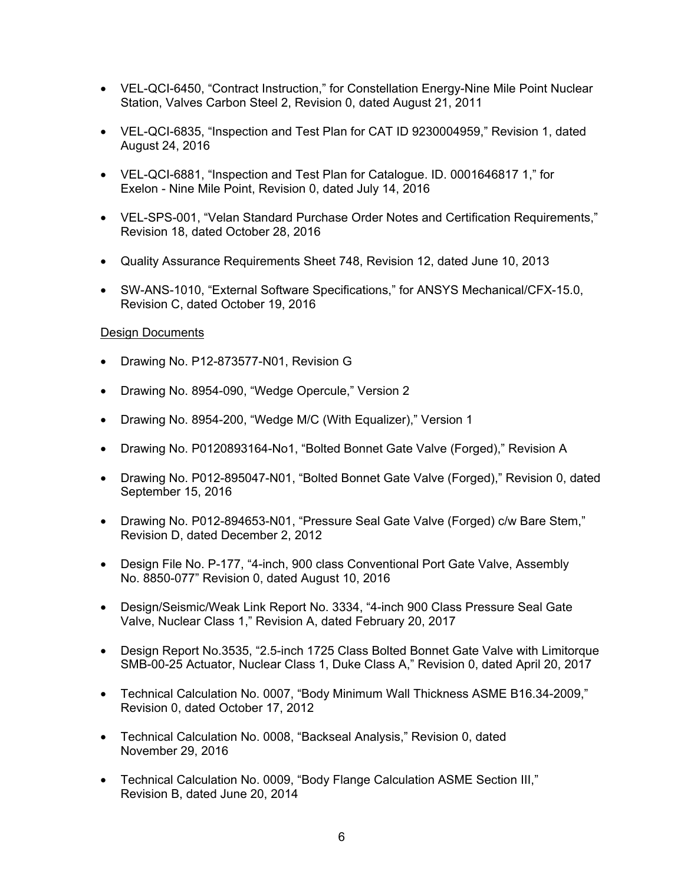- VEL-QCI-6450, "Contract Instruction," for Constellation Energy-Nine Mile Point Nuclear Station, Valves Carbon Steel 2, Revision 0, dated August 21, 2011
- VEL-QCI-6835, "Inspection and Test Plan for CAT ID 9230004959," Revision 1, dated August 24, 2016
- VEL-QCI-6881, "Inspection and Test Plan for Catalogue. ID. 0001646817 1," for Exelon - Nine Mile Point, Revision 0, dated July 14, 2016
- VEL-SPS-001, "Velan Standard Purchase Order Notes and Certification Requirements," Revision 18, dated October 28, 2016
- Quality Assurance Requirements Sheet 748, Revision 12, dated June 10, 2013
- SW-ANS-1010, "External Software Specifications," for ANSYS Mechanical/CFX-15.0, Revision C, dated October 19, 2016

### Design Documents

- Drawing No. P12-873577-N01, Revision G
- Drawing No. 8954-090, "Wedge Opercule," Version 2
- Drawing No. 8954-200, "Wedge M/C (With Equalizer)," Version 1
- Drawing No. P0120893164-No1, "Bolted Bonnet Gate Valve (Forged)," Revision A
- Drawing No. P012-895047-N01, "Bolted Bonnet Gate Valve (Forged)," Revision 0, dated September 15, 2016
- Drawing No. P012-894653-N01, "Pressure Seal Gate Valve (Forged) c/w Bare Stem," Revision D, dated December 2, 2012
- Design File No. P-177, "4-inch, 900 class Conventional Port Gate Valve, Assembly No. 8850-077" Revision 0, dated August 10, 2016
- Design/Seismic/Weak Link Report No. 3334, "4-inch 900 Class Pressure Seal Gate Valve, Nuclear Class 1," Revision A, dated February 20, 2017
- Design Report No.3535, "2.5-inch 1725 Class Bolted Bonnet Gate Valve with Limitorque SMB-00-25 Actuator, Nuclear Class 1, Duke Class A," Revision 0, dated April 20, 2017
- Technical Calculation No. 0007, "Body Minimum Wall Thickness ASME B16.34-2009," Revision 0, dated October 17, 2012
- Technical Calculation No. 0008, "Backseal Analysis," Revision 0, dated November 29, 2016
- Technical Calculation No. 0009, "Body Flange Calculation ASME Section III," Revision B, dated June 20, 2014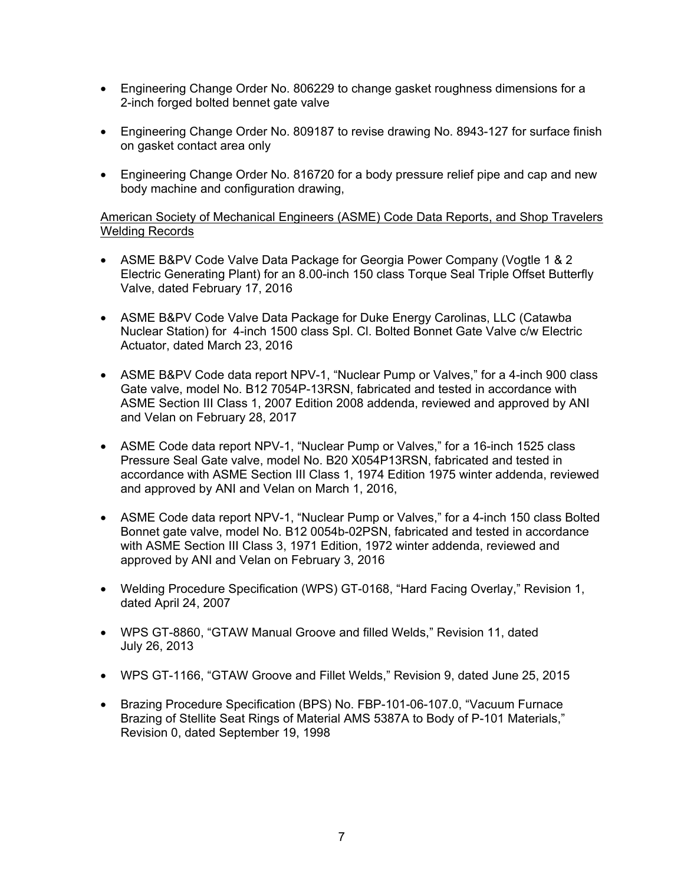- Engineering Change Order No. 806229 to change gasket roughness dimensions for a 2-inch forged bolted bennet gate valve
- Engineering Change Order No. 809187 to revise drawing No. 8943-127 for surface finish on gasket contact area only
- Engineering Change Order No. 816720 for a body pressure relief pipe and cap and new body machine and configuration drawing,

# American Society of Mechanical Engineers (ASME) Code Data Reports, and Shop Travelers Welding Records

- ASME B&PV Code Valve Data Package for Georgia Power Company (Vogtle 1 & 2) Electric Generating Plant) for an 8.00-inch 150 class Torque Seal Triple Offset Butterfly Valve, dated February 17, 2016
- ASME B&PV Code Valve Data Package for Duke Energy Carolinas, LLC (Catawba Nuclear Station) for 4-inch 1500 class Spl. Cl. Bolted Bonnet Gate Valve c/w Electric Actuator, dated March 23, 2016
- ASME B&PV Code data report NPV-1, "Nuclear Pump or Valves," for a 4-inch 900 class Gate valve, model No. B12 7054P-13RSN, fabricated and tested in accordance with ASME Section III Class 1, 2007 Edition 2008 addenda, reviewed and approved by ANI and Velan on February 28, 2017
- ASME Code data report NPV-1, "Nuclear Pump or Valves," for a 16-inch 1525 class Pressure Seal Gate valve, model No. B20 X054P13RSN, fabricated and tested in accordance with ASME Section III Class 1, 1974 Edition 1975 winter addenda, reviewed and approved by ANI and Velan on March 1, 2016,
- ASME Code data report NPV-1, "Nuclear Pump or Valves," for a 4-inch 150 class Bolted Bonnet gate valve, model No. B12 0054b-02PSN, fabricated and tested in accordance with ASME Section III Class 3, 1971 Edition, 1972 winter addenda, reviewed and approved by ANI and Velan on February 3, 2016
- Welding Procedure Specification (WPS) GT-0168, "Hard Facing Overlay," Revision 1, dated April 24, 2007
- WPS GT-8860, "GTAW Manual Groove and filled Welds," Revision 11, dated July 26, 2013
- WPS GT-1166, "GTAW Groove and Fillet Welds," Revision 9, dated June 25, 2015
- Brazing Procedure Specification (BPS) No. FBP-101-06-107.0, "Vacuum Furnace Brazing of Stellite Seat Rings of Material AMS 5387A to Body of P-101 Materials," Revision 0, dated September 19, 1998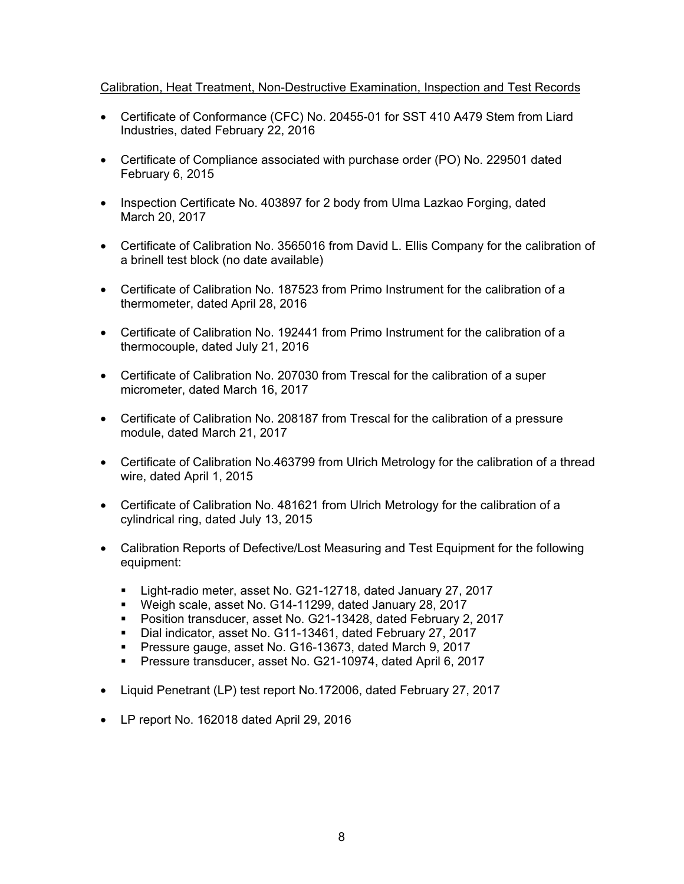### Calibration, Heat Treatment, Non-Destructive Examination, Inspection and Test Records

- Certificate of Conformance (CFC) No. 20455-01 for SST 410 A479 Stem from Liard Industries, dated February 22, 2016
- Certificate of Compliance associated with purchase order (PO) No. 229501 dated February 6, 2015
- Inspection Certificate No. 403897 for 2 body from Ulma Lazkao Forging, dated March 20, 2017
- Certificate of Calibration No. 3565016 from David L. Ellis Company for the calibration of a brinell test block (no date available)
- Certificate of Calibration No. 187523 from Primo Instrument for the calibration of a thermometer, dated April 28, 2016
- Certificate of Calibration No. 192441 from Primo Instrument for the calibration of a thermocouple, dated July 21, 2016
- Certificate of Calibration No. 207030 from Trescal for the calibration of a super micrometer, dated March 16, 2017
- Certificate of Calibration No. 208187 from Trescal for the calibration of a pressure module, dated March 21, 2017
- Certificate of Calibration No.463799 from Ulrich Metrology for the calibration of a thread wire, dated April 1, 2015
- Certificate of Calibration No. 481621 from Ulrich Metrology for the calibration of a cylindrical ring, dated July 13, 2015
- Calibration Reports of Defective/Lost Measuring and Test Equipment for the following equipment:
	- Light-radio meter, asset No. G21-12718, dated January 27, 2017
	- Weigh scale, asset No. G14-11299, dated January 28, 2017
	- Position transducer, asset No. G21-13428, dated February 2, 2017
	- Dial indicator, asset No. G11-13461, dated February 27, 2017
	- Pressure gauge, asset No. G16-13673, dated March 9, 2017
	- **Pressure transducer, asset No. G21-10974, dated April 6, 2017**
- Liquid Penetrant (LP) test report No.172006, dated February 27, 2017
- LP report No. 162018 dated April 29, 2016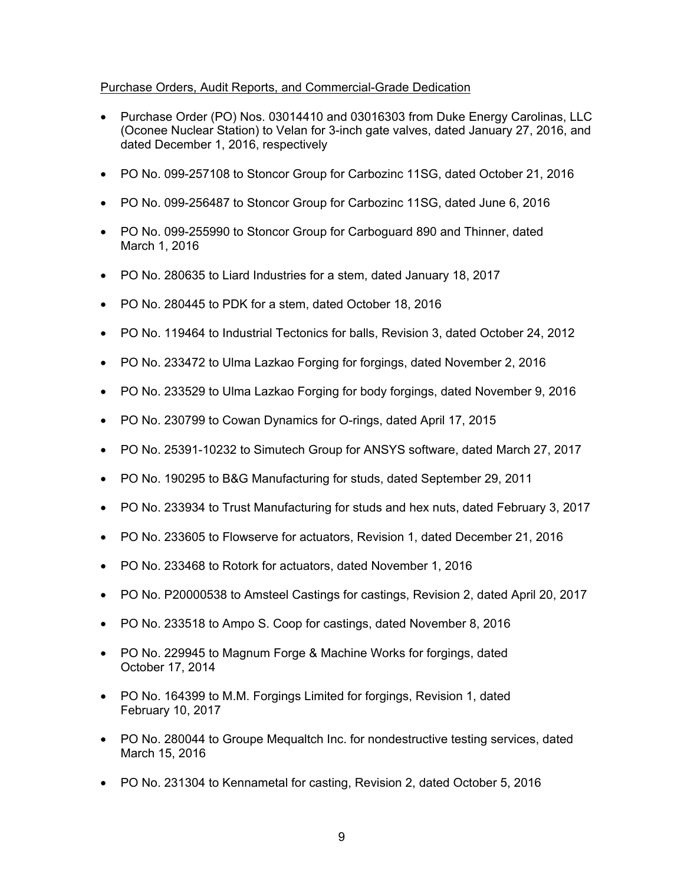# Purchase Orders, Audit Reports, and Commercial-Grade Dedication

- Purchase Order (PO) Nos. 03014410 and 03016303 from Duke Energy Carolinas, LLC (Oconee Nuclear Station) to Velan for 3-inch gate valves, dated January 27, 2016, and dated December 1, 2016, respectively
- PO No. 099-257108 to Stoncor Group for Carbozinc 11SG, dated October 21, 2016
- PO No. 099-256487 to Stoncor Group for Carbozinc 11SG, dated June 6, 2016
- PO No. 099-255990 to Stoncor Group for Carboguard 890 and Thinner, dated March 1, 2016
- PO No. 280635 to Liard Industries for a stem, dated January 18, 2017
- PO No. 280445 to PDK for a stem, dated October 18, 2016
- PO No. 119464 to Industrial Tectonics for balls, Revision 3, dated October 24, 2012
- PO No. 233472 to Ulma Lazkao Forging for forgings, dated November 2, 2016
- PO No. 233529 to Ulma Lazkao Forging for body forgings, dated November 9, 2016
- PO No. 230799 to Cowan Dynamics for O-rings, dated April 17, 2015
- PO No. 25391-10232 to Simutech Group for ANSYS software, dated March 27, 2017
- PO No. 190295 to B&G Manufacturing for studs, dated September 29, 2011
- PO No. 233934 to Trust Manufacturing for studs and hex nuts, dated February 3, 2017
- PO No. 233605 to Flowserve for actuators, Revision 1, dated December 21, 2016
- PO No. 233468 to Rotork for actuators, dated November 1, 2016
- PO No. P20000538 to Amsteel Castings for castings, Revision 2, dated April 20, 2017
- PO No. 233518 to Ampo S. Coop for castings, dated November 8, 2016
- PO No. 229945 to Magnum Forge & Machine Works for forgings, dated October 17, 2014
- PO No. 164399 to M.M. Forgings Limited for forgings, Revision 1, dated February 10, 2017
- PO No. 280044 to Groupe Mequaltch Inc. for nondestructive testing services, dated March 15, 2016
- PO No. 231304 to Kennametal for casting, Revision 2, dated October 5, 2016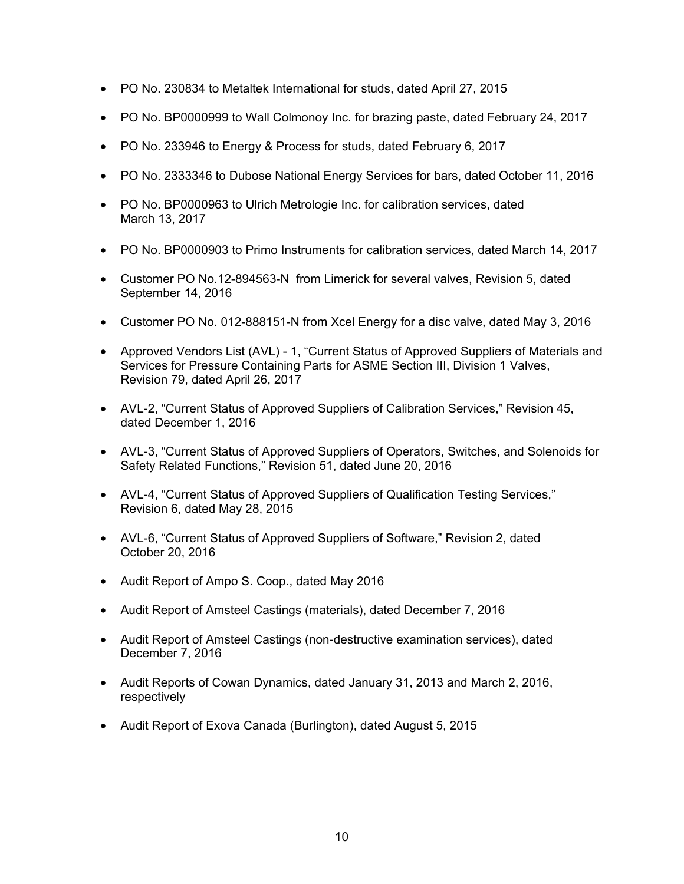- PO No. 230834 to Metaltek International for studs, dated April 27, 2015
- PO No. BP0000999 to Wall Colmonoy Inc. for brazing paste, dated February 24, 2017
- PO No. 233946 to Energy & Process for studs, dated February 6, 2017
- PO No. 2333346 to Dubose National Energy Services for bars, dated October 11, 2016
- PO No. BP0000963 to Ulrich Metrologie Inc. for calibration services, dated March 13, 2017
- PO No. BP0000903 to Primo Instruments for calibration services, dated March 14, 2017
- Customer PO No.12-894563-N from Limerick for several valves, Revision 5, dated September 14, 2016
- Customer PO No. 012-888151-N from Xcel Energy for a disc valve, dated May 3, 2016
- Approved Vendors List (AVL) 1, "Current Status of Approved Suppliers of Materials and Services for Pressure Containing Parts for ASME Section III, Division 1 Valves, Revision 79, dated April 26, 2017
- AVL-2, "Current Status of Approved Suppliers of Calibration Services," Revision 45, dated December 1, 2016
- AVL-3, "Current Status of Approved Suppliers of Operators, Switches, and Solenoids for Safety Related Functions," Revision 51, dated June 20, 2016
- AVL-4, "Current Status of Approved Suppliers of Qualification Testing Services," Revision 6, dated May 28, 2015
- AVL-6, "Current Status of Approved Suppliers of Software," Revision 2, dated October 20, 2016
- Audit Report of Ampo S. Coop., dated May 2016
- Audit Report of Amsteel Castings (materials), dated December 7, 2016
- Audit Report of Amsteel Castings (non-destructive examination services), dated December 7, 2016
- Audit Reports of Cowan Dynamics, dated January 31, 2013 and March 2, 2016, respectively
- Audit Report of Exova Canada (Burlington), dated August 5, 2015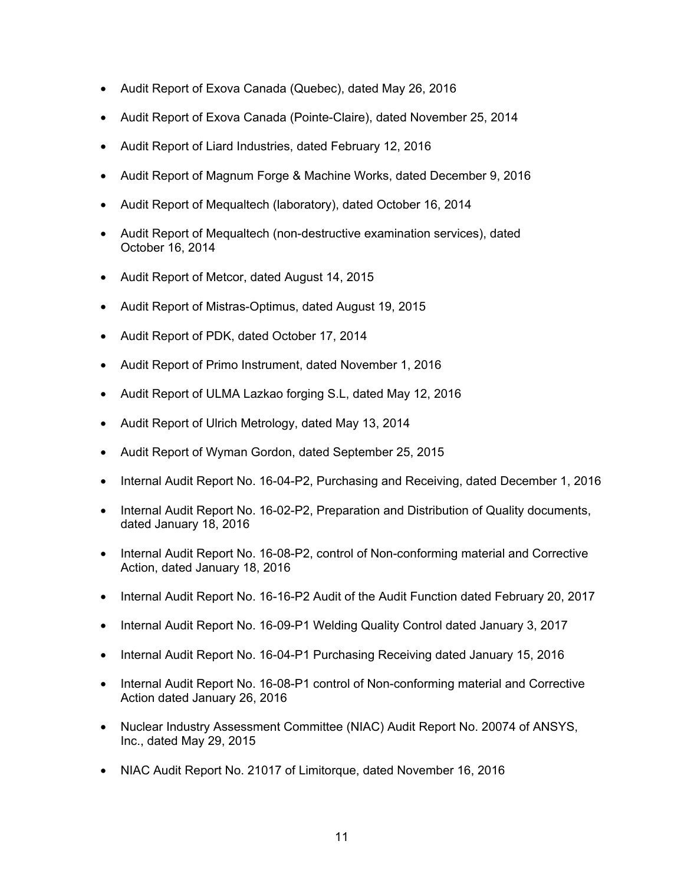- Audit Report of Exova Canada (Quebec), dated May 26, 2016
- Audit Report of Exova Canada (Pointe-Claire), dated November 25, 2014
- Audit Report of Liard Industries, dated February 12, 2016
- Audit Report of Magnum Forge & Machine Works, dated December 9, 2016
- Audit Report of Mequaltech (laboratory), dated October 16, 2014
- Audit Report of Mequaltech (non-destructive examination services), dated October 16, 2014
- Audit Report of Metcor, dated August 14, 2015
- Audit Report of Mistras-Optimus, dated August 19, 2015
- Audit Report of PDK, dated October 17, 2014
- Audit Report of Primo Instrument, dated November 1, 2016
- Audit Report of ULMA Lazkao forging S.L, dated May 12, 2016
- Audit Report of Ulrich Metrology, dated May 13, 2014
- Audit Report of Wyman Gordon, dated September 25, 2015
- Internal Audit Report No. 16-04-P2, Purchasing and Receiving, dated December 1, 2016
- Internal Audit Report No. 16-02-P2, Preparation and Distribution of Quality documents, dated January 18, 2016
- Internal Audit Report No. 16-08-P2, control of Non-conforming material and Corrective Action, dated January 18, 2016
- Internal Audit Report No. 16-16-P2 Audit of the Audit Function dated February 20, 2017
- Internal Audit Report No. 16-09-P1 Welding Quality Control dated January 3, 2017
- Internal Audit Report No. 16-04-P1 Purchasing Receiving dated January 15, 2016
- Internal Audit Report No. 16-08-P1 control of Non-conforming material and Corrective Action dated January 26, 2016
- Nuclear Industry Assessment Committee (NIAC) Audit Report No. 20074 of ANSYS, Inc., dated May 29, 2015
- NIAC Audit Report No. 21017 of Limitorque, dated November 16, 2016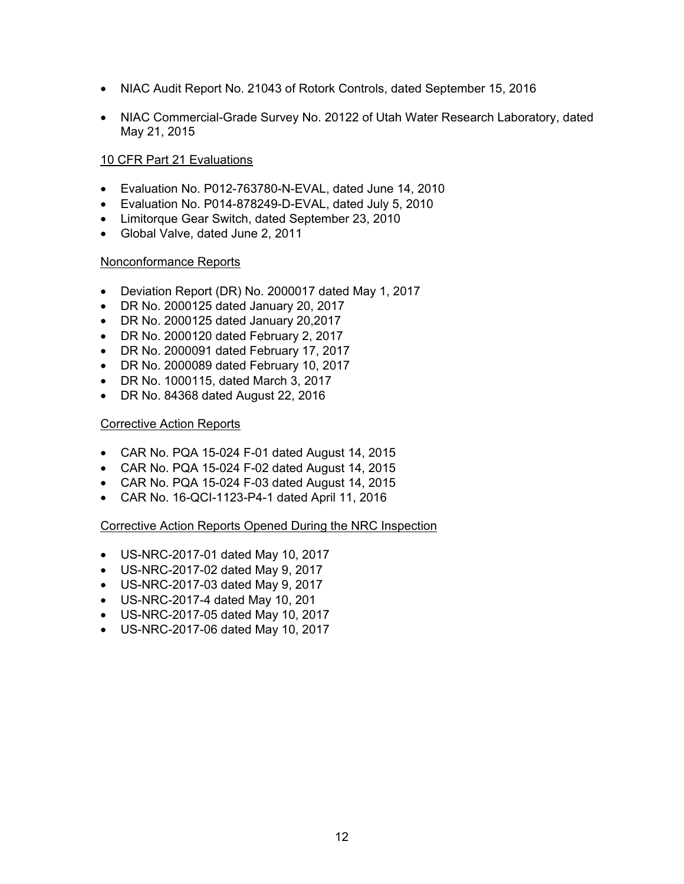- NIAC Audit Report No. 21043 of Rotork Controls, dated September 15, 2016
- NIAC Commercial-Grade Survey No. 20122 of Utah Water Research Laboratory, dated May 21, 2015

# 10 CFR Part 21 Evaluations

- Evaluation No. P012-763780-N-EVAL, dated June 14, 2010
- Evaluation No. P014-878249-D-EVAL, dated July 5, 2010
- Limitorque Gear Switch, dated September 23, 2010
- Global Valve, dated June 2, 2011

#### Nonconformance Reports

- Deviation Report (DR) No. 2000017 dated May 1, 2017
- DR No. 2000125 dated January 20, 2017
- DR No. 2000125 dated January 20,2017
- DR No. 2000120 dated February 2, 2017
- DR No. 2000091 dated February 17, 2017
- DR No. 2000089 dated February 10, 2017
- DR No. 1000115, dated March 3, 2017
- DR No. 84368 dated August 22, 2016

### Corrective Action Reports

- CAR No. PQA 15-024 F-01 dated August 14, 2015
- CAR No. PQA 15-024 F-02 dated August 14, 2015
- CAR No. PQA 15-024 F-03 dated August 14, 2015
- CAR No. 16-QCI-1123-P4-1 dated April 11, 2016

#### Corrective Action Reports Opened During the NRC Inspection

- US-NRC-2017-01 dated May 10, 2017
- US-NRC-2017-02 dated May 9, 2017
- US-NRC-2017-03 dated May 9, 2017
- US-NRC-2017-4 dated May 10, 201
- US-NRC-2017-05 dated May 10, 2017
- US-NRC-2017-06 dated May 10, 2017